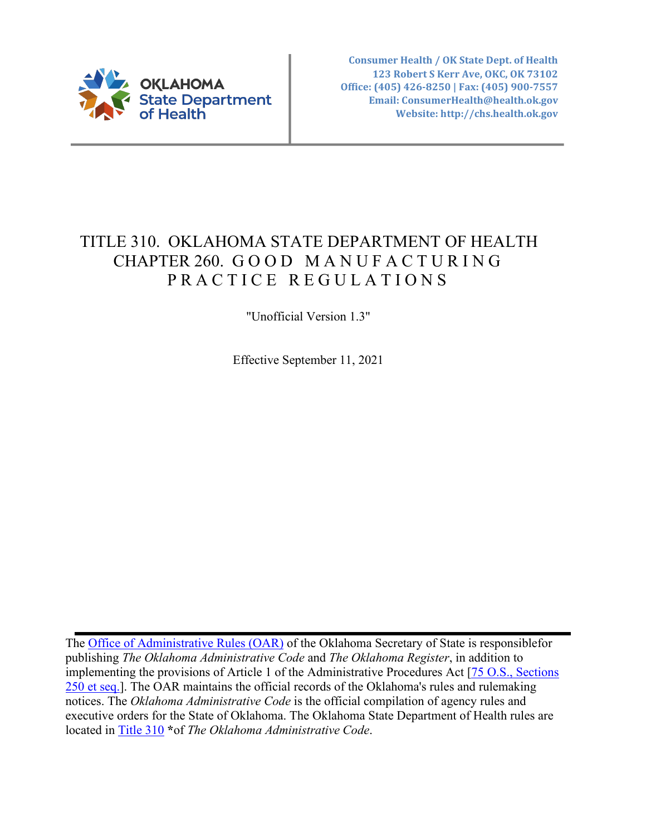

**Consumer Health / OK State Dept. of Health 123 Robert S Kerr Ave, OKC, OK 73102 Office: (405) 426-8250 | Fax: (405) 900-7557 Email: ConsumerHealth@health.ok.gov Website: http://chs.health.ok.gov**

# TITLE 310. OKLAHOMA STATE DEPARTMENT OF HEALTH CHAPTER 260. GOOD MANUFACTURING PRACTICE REGULATIONS

"Unofficial Version 1.3"

Effective September 11, 2021

The [Office of Administrative Rules \(OAR\)](https://www.sos.ok.gov/oar/online/viewCode.aspx) of the Oklahoma Secretary of State is responsiblefor publishing *The Oklahoma Administrative Code* and *The Oklahoma Register*, in addition to implementing the provisions of Article 1 of the Administrative Procedures Act [\[75 O.S., Sections](http://www.oscn.net/applications/oscn/deliverdocument.asp?citeID=93480) [250 et seq.\]](http://www.oscn.net/applications/oscn/deliverdocument.asp?citeID=93480). The OAR maintains the official records of the Oklahoma's rules and rulemaking notices. The *Oklahoma Administrative Code* is the official compilation of agency rules and executive orders for the State of Oklahoma. The Oklahoma State Department of Health rules are located in [Title](http://www.oar.state.ok.us/oar/codedoc02.nsf/All/CD685536D68A9DFF862587750054C537?OpenDocument) 310 **\***of *The Oklahoma Administrative Code*.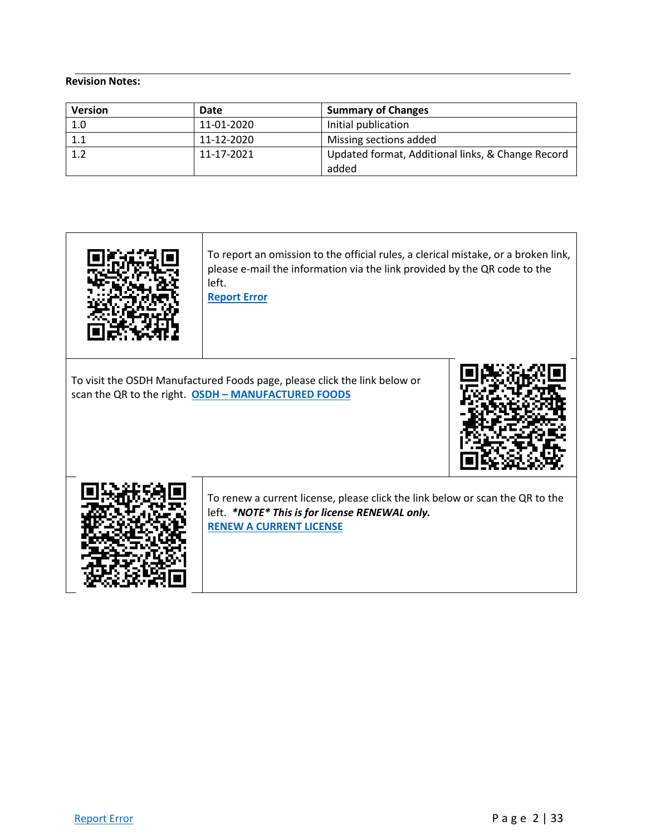#### **Revision Notes:**

| <b>Version</b> | Date       | <b>Summary of Changes</b>                         |
|----------------|------------|---------------------------------------------------|
| 1.0            | 11-01-2020 | Initial publication                               |
| 1.1            | 11-12-2020 | Missing sections added                            |
| 1.2            | 11-17-2021 | Updated format, Additional links, & Change Record |
|                |            | added                                             |



To report an omission to the official rules, a clerical mistake, or a broken link, please e-mail the information via the link provided by the QR code to the left.

**[Report Error](mailto:ConsumerHealth@Health.OK.Gov?&subject=subject=%20OAC:310-260.%20%20Incorrect%20Citationand/or%20Broken%20Link)**

To visit the OSDH Manufactured Foods page, please click the link below or scan the QR to the right. **OSDH – [MANUFACTURED FOODS](https://oklahoma.gov/health/protective-health/consumer-health-service/manufactured-food.html)**





To renew a current license, please click the link below or scan the QR to the left. *\*NOTE\* This is for license RENEWAL only.* **[RENEW A CURRENT LICENSE](https://oklahoma.gov/health/protective-health/consumer-health-service/online-payments.html)**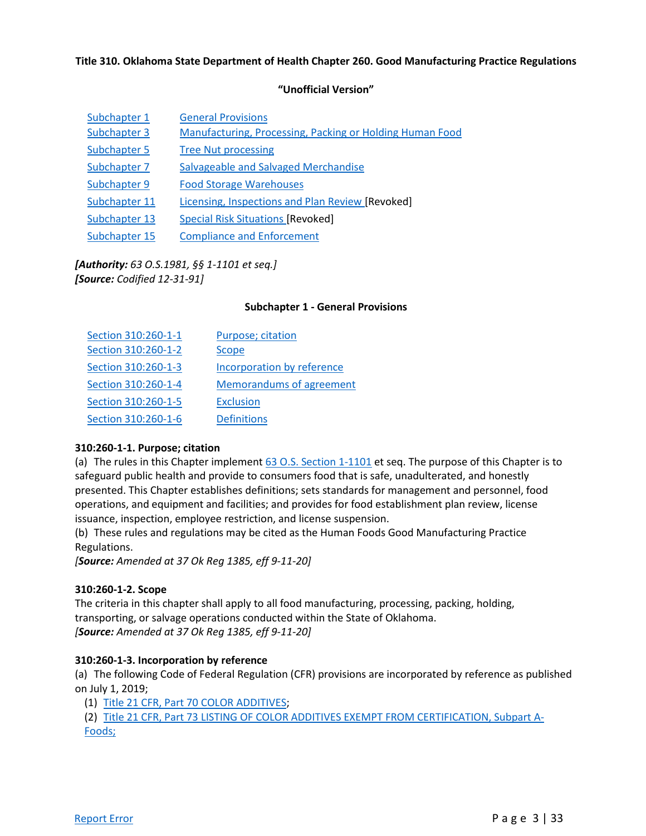#### **Title 310. Oklahoma State Department of Health Chapter 260. Good Manufacturing Practice Regulations**

#### **"Unofficial Version"**

| Subchapter 1  | <b>General Provisions</b>                                |
|---------------|----------------------------------------------------------|
| Subchapter 3  | Manufacturing, Processing, Packing or Holding Human Food |
| Subchapter 5  | <b>Tree Nut processing</b>                               |
| Subchapter 7  | Salvageable and Salvaged Merchandise                     |
| Subchapter 9  | <b>Food Storage Warehouses</b>                           |
| Subchapter 11 | Licensing, Inspections and Plan Review [Revoked]         |
| Subchapter 13 | <b>Special Risk Situations [Revoked]</b>                 |
| Subchapter 15 | <b>Compliance and Enforcement</b>                        |

#### *[Authority: 63 O.S.1981, §§ 1-1101 et seq.] [Source: Codified 12-31-91]*

#### **Subchapter 1 - General Provisions**

| Section 310:260-1-1 | Purpose; citation               |
|---------------------|---------------------------------|
| Section 310:260-1-2 | Scope                           |
| Section 310:260-1-3 | Incorporation by reference      |
| Section 310:260-1-4 | <b>Memorandums of agreement</b> |
| Section 310:260-1-5 | <b>Exclusion</b>                |
| Section 310:260-1-6 | <b>Definitions</b>              |

#### **310:260-1-1. Purpose; citation**

(a) The rules in this Chapter implemen[t 63 O.S. Section 1-1101](https://www.oscn.net/applications/oscn/DeliverDocument.asp?CiteID=98391) et seq. The purpose of this Chapter is to safeguard public health and provide to consumers food that is safe, unadulterated, and honestly presented. This Chapter establishes definitions; sets standards for management and personnel, food operations, and equipment and facilities; and provides for food establishment plan review, license issuance, inspection, employee restriction, and license suspension.

(b) These rules and regulations may be cited as the Human Foods Good Manufacturing Practice Regulations.

*[Source: Amended at 37 Ok Reg 1385, eff 9-11-20]*

#### **310:260-1-2. Scope**

The criteria in this chapter shall apply to all food manufacturing, processing, packing, holding, transporting, or salvage operations conducted within the State of Oklahoma. *[Source: Amended at 37 Ok Reg 1385, eff 9-11-20]*

#### **310:260-1-3. Incorporation by reference**

(a) The following Code of Federal Regulation (CFR) provisions are incorporated by reference as published on July 1, 2019;

(1) [Title 21 CFR, Part 70 COLOR ADDITIVES;](https://www.ecfr.gov/cgi-bin/text-idx?SID=cabca866b06281107ce400eff879a021&mc=true&node=pt21.1.70&rgn=div5)

(2) [Title 21 CFR, Part 73 LISTING OF COLOR ADDITIVES EXEMPT FROM CERTIFICATION, Subpart A-](https://www.ecfr.gov/cgi-bin/text-idx?SID=cabca866b06281107ce400eff879a021&mc=true&node=pt21.1.73&rgn=div5)[Foods;](https://www.ecfr.gov/cgi-bin/text-idx?SID=cabca866b06281107ce400eff879a021&mc=true&node=pt21.1.73&rgn=div5)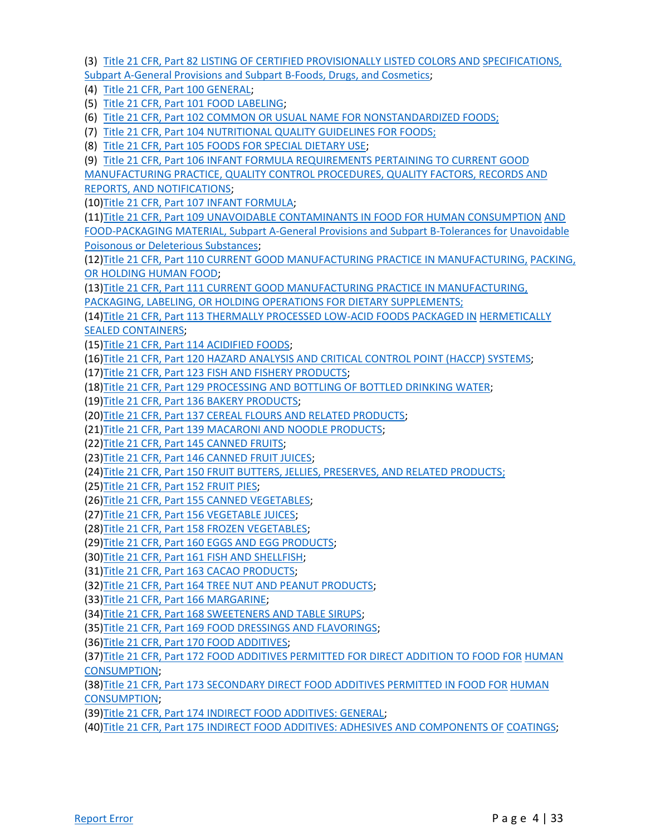(3) [Title 21 CFR, Part 82 LISTING OF CERTIFIED PROVISIONALLY LISTED COLORS AND](https://www.ecfr.gov/cgi-bin/text-idx?SID=cabca866b06281107ce400eff879a021&mc=true&node=pt21.1.82&rgn=div5) [SPECIFICATIONS,](https://www.ecfr.gov/cgi-bin/text-idx?SID=cabca866b06281107ce400eff879a021&mc=true&node=pt21.1.82&rgn=div5)  [Subpart A-General Provisions and Subpart B-Foods, Drugs, and Cosmetics;](https://www.ecfr.gov/cgi-bin/text-idx?SID=cabca866b06281107ce400eff879a021&mc=true&node=pt21.1.82&rgn=div5)

(4) [Title 21 CFR, Part 100 GENERAL;](https://www.ecfr.gov/cgi-bin/text-idx?SID=cabca866b06281107ce400eff879a021&mc=true&node=pt21.2.100&rgn=div5)

(5) [Title 21 CFR, Part 101 FOOD LABELING;](https://www.ecfr.gov/cgi-bin/text-idx?SID=cabca866b06281107ce400eff879a021&mc=true&node=pt21.2.101&rgn=div5)

(6) [Title 21 CFR, Part 102 COMMON OR USUAL NAME FOR NONSTANDARDIZED FOODS;](https://www.ecfr.gov/cgi-bin/text-idx?SID=cabca866b06281107ce400eff879a021&mc=true&node=pt21.2.102&rgn=div5)

(7) [Title 21 CFR, Part 104 NUTRITIONAL QUALITY GUIDELINES FOR FOODS;](https://www.ecfr.gov/cgi-bin/text-idx?SID=cabca866b06281107ce400eff879a021&mc=true&node=pt21.2.104&rgn=div5)

(8) [Title 21 CFR, Part 105 FOODS FOR SPECIAL DIETARY USE;](https://www.ecfr.gov/cgi-bin/text-idx?SID=cabca866b06281107ce400eff879a021&mc=true&node=pt21.2.105&rgn=div5)

(9) [Title 21 CFR, Part 106 INFANT FORMULA REQUIREMENTS PERTAINING TO CURRENT GOOD](https://www.ecfr.gov/cgi-bin/text-idx?SID=cabca866b06281107ce400eff879a021&mc=true&node=pt21.2.106&rgn=div5)

[MANUFACTURING PRACTICE, QUALITY CONTROL PROCEDURES, QUALITY FACTORS, RECORDS AND](https://www.ecfr.gov/cgi-bin/text-idx?SID=cabca866b06281107ce400eff879a021&mc=true&node=pt21.2.106&rgn=div5) [REPORTS, AND NOTIFICATIONS;](https://www.ecfr.gov/cgi-bin/text-idx?SID=cabca866b06281107ce400eff879a021&mc=true&node=pt21.2.106&rgn=div5)

(10[\)Title 21 CFR, Part 107 INFANT FORMULA;](https://www.ecfr.gov/cgi-bin/text-idx?SID=cabca866b06281107ce400eff879a021&mc=true&node=pt21.2.107&rgn=div5)

(11[\)Title 21 CFR, Part 109 UNAVOIDABLE CONTAMINANTS IN FOOD FOR HUMAN CONSUMPTION](https://www.ecfr.gov/cgi-bin/text-idx?SID=cabca866b06281107ce400eff879a021&mc=true&node=pt21.2.109&rgn=div5) [AND](https://www.ecfr.gov/cgi-bin/text-idx?SID=cabca866b06281107ce400eff879a021&mc=true&node=pt21.2.109&rgn=div5)  [FOOD-PACKAGING MATERIAL, Subpart A-General Provisions and Subpart B-Tolerances for](https://www.ecfr.gov/cgi-bin/text-idx?SID=cabca866b06281107ce400eff879a021&mc=true&node=pt21.2.109&rgn=div5) [Unavoidable](https://www.ecfr.gov/cgi-bin/text-idx?SID=cabca866b06281107ce400eff879a021&mc=true&node=pt21.2.109&rgn=div5)  [Poisonous or Deleterious Substances;](https://www.ecfr.gov/cgi-bin/text-idx?SID=cabca866b06281107ce400eff879a021&mc=true&node=pt21.2.109&rgn=div5)

(12[\)Title 21 CFR, Part 110 CURRENT GOOD MANUFACTURING PRACTICE IN MANUFACTURING,](https://www.ecfr.gov/cgi-bin/text-idx?SID=cabca866b06281107ce400eff879a021&mc=true&node=pt21.2.110&rgn=div5) [PACKING,](https://www.ecfr.gov/cgi-bin/text-idx?SID=cabca866b06281107ce400eff879a021&mc=true&node=pt21.2.110&rgn=div5)  [OR HOLDING HUMAN FOOD;](https://www.ecfr.gov/cgi-bin/text-idx?SID=cabca866b06281107ce400eff879a021&mc=true&node=pt21.2.110&rgn=div5)

(13[\)Title 21 CFR, Part 111 CURRENT GOOD MANUFACTURING PRACTICE IN MANUFACTURING,](https://www.ecfr.gov/cgi-bin/text-idx?SID=cabca866b06281107ce400eff879a021&mc=true&node=pt21.2.111&rgn=div5) [PACKAGING, LABELING, OR HOLDING OPERATIONS FOR DIETARY SUPPLEMENTS;](https://www.ecfr.gov/cgi-bin/text-idx?SID=cabca866b06281107ce400eff879a021&mc=true&node=pt21.2.111&rgn=div5)

(14[\)Title 21 CFR, Part 113 THERMALLY PROCESSED LOW-ACID FOODS PACKAGED IN](https://www.ecfr.gov/cgi-bin/text-idx?SID=cabca866b06281107ce400eff879a021&mc=true&node=pt21.2.113&rgn=div5) [HERMETICALLY](https://www.ecfr.gov/cgi-bin/text-idx?SID=cabca866b06281107ce400eff879a021&mc=true&node=pt21.2.113&rgn=div5)  [SEALED CONTAINERS;](https://www.ecfr.gov/cgi-bin/text-idx?SID=cabca866b06281107ce400eff879a021&mc=true&node=pt21.2.113&rgn=div5)

(15[\)Title 21 CFR, Part 114 ACIDIFIED FOODS;](https://www.ecfr.gov/cgi-bin/text-idx?SID=cabca866b06281107ce400eff879a021&mc=true&node=pt21.2.114&rgn=div5)

(16[\)Title 21 CFR, Part 120 HAZARD ANALYSIS AND CRITICAL CONTROL POINT \(HACCP\) SYSTEMS;](https://www.ecfr.gov/cgi-bin/text-idx?SID=cabca866b06281107ce400eff879a021&mc=true&node=pt21.2.120&rgn=div5)

(17[\)Title 21 CFR, Part 123 FISH AND FISHERY PRODUCTS;](https://www.ecfr.gov/cgi-bin/text-idx?SID=cabca866b06281107ce400eff879a021&mc=true&node=pt21.2.123&rgn=div5)

(18[\)Title 21 CFR, Part 129 PROCESSING AND BOTTLING OF BOTTLED DRINKING WATER;](https://www.ecfr.gov/cgi-bin/text-idx?SID=cabca866b06281107ce400eff879a021&mc=true&node=pt21.2.129&rgn=div5)

(19[\)Title 21 CFR, Part 136 BAKERY PRODUCTS;](https://www.ecfr.gov/cgi-bin/text-idx?SID=cabca866b06281107ce400eff879a021&mc=true&node=pt21.2.136&rgn=div5)

(20[\)Title 21 CFR, Part 137 CEREAL FLOURS AND RELATED PRODUCTS;](https://www.ecfr.gov/cgi-bin/text-idx?SID=cabca866b06281107ce400eff879a021&mc=true&node=pt21.2.137&rgn=div5)

(21[\)Title 21 CFR, Part 139 MACARONI AND NOODLE PRODUCTS;](https://www.ecfr.gov/cgi-bin/text-idx?SID=cabca866b06281107ce400eff879a021&mc=true&node=pt21.2.139&rgn=div5)

(22[\)Title 21 CFR, Part 145 CANNED FRUITS;](https://www.ecfr.gov/cgi-bin/text-idx?SID=cabca866b06281107ce400eff879a021&mc=true&node=pt21.2.145&rgn=div5)

(23[\)Title 21 CFR, Part 146 CANNED FRUIT JUICES;](https://www.ecfr.gov/cgi-bin/text-idx?SID=cabca866b06281107ce400eff879a021&mc=true&node=pt21.2.146&rgn=div5)

(24[\)Title 21 CFR, Part 150 FRUIT BUTTERS, JELLIES, PRESERVES, AND RELATED PRODUCTS;](https://www.ecfr.gov/cgi-bin/text-idx?SID=cabca866b06281107ce400eff879a021&mc=true&node=pt21.2.150&rgn=div5)

(25[\)Title 21 CFR, Part 152 FRUIT PIES;](https://www.ecfr.gov/cgi-bin/text-idx?SID=cabca866b06281107ce400eff879a021&mc=true&node=pt21.2.152&rgn=div5)

(26[\)Title 21 CFR, Part 155 CANNED VEGETABLES;](https://www.ecfr.gov/cgi-bin/text-idx?SID=cabca866b06281107ce400eff879a021&mc=true&node=pt21.2.155&rgn=div5)

(27[\)Title 21 CFR, Part 156 VEGETABLE JUICES;](https://www.ecfr.gov/cgi-bin/text-idx?SID=cabca866b06281107ce400eff879a021&mc=true&node=pt21.2.156&rgn=div5)

(28[\)Title 21 CFR, Part 158 FROZEN VEGETABLES;](https://www.ecfr.gov/cgi-bin/text-idx?SID=cabca866b06281107ce400eff879a021&mc=true&node=pt21.2.158&rgn=div5)

(29[\)Title 21 CFR, Part 160 EGGS AND EGG PRODUCTS;](https://www.ecfr.gov/cgi-bin/text-idx?SID=cabca866b06281107ce400eff879a021&mc=true&node=pt21.2.160&rgn=div5)

(30[\)Title 21 CFR, Part 161 FISH AND SHELLFISH;](https://www.ecfr.gov/cgi-bin/text-idx?SID=cabca866b06281107ce400eff879a021&mc=true&node=pt21.2.161&rgn=div5)

(31[\)Title 21 CFR, Part 163 CACAO PRODUCTS;](https://www.ecfr.gov/cgi-bin/text-idx?SID=cabca866b06281107ce400eff879a021&mc=true&node=pt21.2.163&rgn=div5)

(32[\)Title 21 CFR, Part 164 TREE NUT AND PEANUT PRODUCTS;](https://www.ecfr.gov/cgi-bin/text-idx?SID=cabca866b06281107ce400eff879a021&mc=true&node=pt21.2.164&rgn=div5)

(33[\)Title 21 CFR, Part 166 MARGARINE;](https://www.ecfr.gov/cgi-bin/text-idx?SID=cabca866b06281107ce400eff879a021&mc=true&node=pt21.2.166&rgn=div5)

(34[\)Title 21 CFR, Part 168 SWEETENERS AND TABLE SIRUPS;](https://www.ecfr.gov/cgi-bin/text-idx?SID=cabca866b06281107ce400eff879a021&mc=true&node=pt21.2.168&rgn=div5)

(35[\)Title 21 CFR, Part 169 FOOD DRESSINGS AND FLAVORINGS;](https://www.ecfr.gov/cgi-bin/text-idx?SID=cabca866b06281107ce400eff879a021&mc=true&node=pt21.2.169&rgn=div5)

(36[\)Title 21 CFR, Part 170 FOOD ADDITIVES;](https://www.ecfr.gov/cgi-bin/text-idx?SID=cabca866b06281107ce400eff879a021&mc=true&node=pt21.3.170&rgn=div5)

(37[\)Title 21 CFR, Part 172 FOOD ADDITIVES PERMITTED FOR DIRECT ADDITION TO FOOD FOR](https://www.ecfr.gov/cgi-bin/text-idx?SID=cabca866b06281107ce400eff879a021&mc=true&node=pt21.3.172&rgn=div5) [HUMAN](https://www.ecfr.gov/cgi-bin/text-idx?SID=cabca866b06281107ce400eff879a021&mc=true&node=pt21.3.172&rgn=div5)  [CONSUMPTION;](https://www.ecfr.gov/cgi-bin/text-idx?SID=cabca866b06281107ce400eff879a021&mc=true&node=pt21.3.172&rgn=div5)

(38[\)Title 21 CFR, Part 173 SECONDARY DIRECT FOOD ADDITIVES PERMITTED IN FOOD FOR](https://www.ecfr.gov/cgi-bin/text-idx?SID=cabca866b06281107ce400eff879a021&mc=true&node=pt21.3.173&rgn=div5) [HUMAN](https://www.ecfr.gov/cgi-bin/text-idx?SID=cabca866b06281107ce400eff879a021&mc=true&node=pt21.3.173&rgn=div5)  [CONSUMPTION;](https://www.ecfr.gov/cgi-bin/text-idx?SID=cabca866b06281107ce400eff879a021&mc=true&node=pt21.3.173&rgn=div5)

(39[\)Title 21 CFR, Part 174 INDIRECT FOOD ADDITIVES: GENERAL;](https://www.ecfr.gov/cgi-bin/text-idx?SID=cabca866b06281107ce400eff879a021&mc=true&node=pt21.3.174&rgn=div5)

(40[\)Title 21 CFR, Part 175 INDIRECT FOOD ADDITIVES: ADHESIVES AND COMPONENTS OF](https://www.ecfr.gov/cgi-bin/text-idx?SID=cabca866b06281107ce400eff879a021&mc=true&node=pt21.3.175&rgn=div5) [COATINGS;](https://www.ecfr.gov/cgi-bin/text-idx?SID=cabca866b06281107ce400eff879a021&mc=true&node=pt21.3.175&rgn=div5)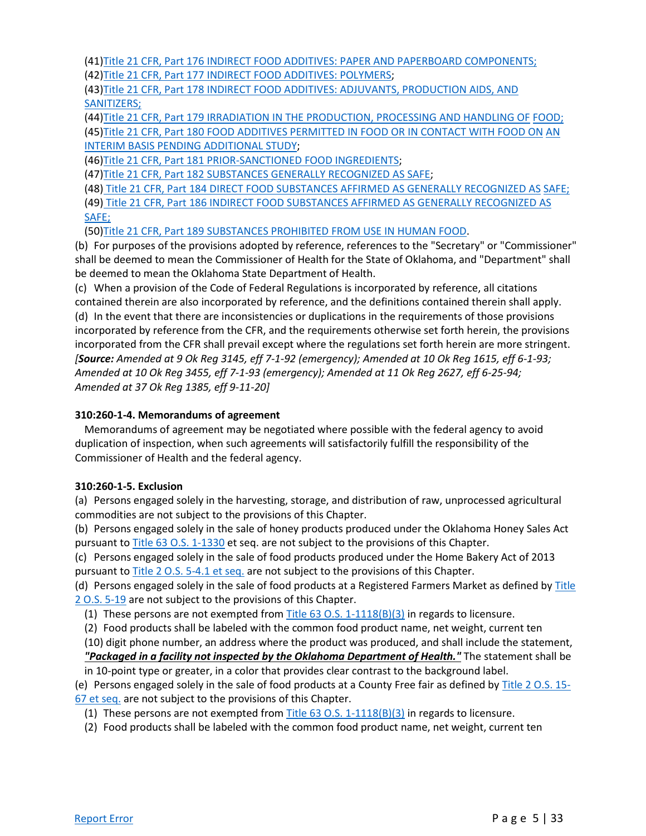(41[\)Title 21 CFR, Part 176 INDIRECT FOOD ADDITIVES: PAPER AND PAPERBOARD COMPONENTS;](https://www.ecfr.gov/cgi-bin/text-idx?SID=cabca866b06281107ce400eff879a021&mc=true&node=pt21.3.176&rgn=div5) (42[\)Title 21 CFR, Part 177 INDIRECT FOOD ADDITIVES: POLYMERS;](https://www.ecfr.gov/cgi-bin/text-idx?SID=cabca866b06281107ce400eff879a021&mc=true&node=pt21.3.177&rgn=div5)

(43[\)Title 21 CFR, Part 178 INDIRECT FOOD ADDITIVES: ADJUVANTS, PRODUCTION AIDS, AND](https://www.ecfr.gov/cgi-bin/text-idx?SID=cabca866b06281107ce400eff879a021&mc=true&node=pt21.3.178&rgn=div5) [SANITIZERS;](https://www.ecfr.gov/cgi-bin/text-idx?SID=cabca866b06281107ce400eff879a021&mc=true&node=pt21.3.178&rgn=div5)

(44[\)Title 21 CFR, Part 179 IRRADIATION IN THE PRODUCTION, PROCESSING AND HANDLING OF](https://www.ecfr.gov/cgi-bin/text-idx?SID=cabca866b06281107ce400eff879a021&mc=true&node=pt21.3.179&rgn=div5) [FOOD;](https://www.ecfr.gov/cgi-bin/text-idx?SID=cabca866b06281107ce400eff879a021&mc=true&node=pt21.3.179&rgn=div5) (45)Title 21 CFR, Part 180 FOOD ADDITIVES [PERMITTED IN FOOD OR IN CONTACT WITH FOOD ON](https://www.ecfr.gov/cgi-bin/text-idx?SID=cabca866b06281107ce400eff879a021&mc=true&node=pt21.3.180&rgn=div5) [AN](https://www.ecfr.gov/cgi-bin/text-idx?SID=cabca866b06281107ce400eff879a021&mc=true&node=pt21.3.180&rgn=div5)  [INTERIM BASIS PENDING ADDITIONAL STUDY;](https://www.ecfr.gov/cgi-bin/text-idx?SID=cabca866b06281107ce400eff879a021&mc=true&node=pt21.3.180&rgn=div5)

(46[\)Title 21 CFR, Part 181 PRIOR-SANCTIONED FOOD INGREDIENTS;](https://www.ecfr.gov/cgi-bin/text-idx?SID=cabca866b06281107ce400eff879a021&mc=true&node=pt21.3.181&rgn=div5)

(47[\)Title 21 CFR, Part 182 SUBSTANCES GENERALLY RECOGNIZED AS SAFE;](https://www.ecfr.gov/cgi-bin/text-idx?SID=cabca866b06281107ce400eff879a021&mc=true&node=pt21.3.182&rgn=div5)

(48) [Title 21 CFR, Part 184 DIRECT FOOD SUBSTANCES AFFIRMED AS GENERALLY RECOGNIZED AS](https://www.ecfr.gov/cgi-bin/text-idx?SID=cabca866b06281107ce400eff879a021&mc=true&node=pt21.3.184&rgn=div5) [SAFE;](https://www.ecfr.gov/cgi-bin/text-idx?SID=cabca866b06281107ce400eff879a021&mc=true&node=pt21.3.184&rgn=div5)

(49) [Title 21 CFR, Part 186 INDIRECT FOOD SUBSTANCES AFFIRMED AS GENERALLY RECOGNIZED AS](https://www.ecfr.gov/cgi-bin/text-idx?SID=cabca866b06281107ce400eff879a021&mc=true&node=pt21.3.186&rgn=div5) [SAFE;](https://www.ecfr.gov/cgi-bin/text-idx?SID=cabca866b06281107ce400eff879a021&mc=true&node=pt21.3.186&rgn=div5)

(50[\)Title 21 CFR, Part 189 SUBSTANCES PROHIBITED FROM USE IN HUMAN FOOD.](https://www.ecfr.gov/cgi-bin/text-idx?SID=cabca866b06281107ce400eff879a021&mc=true&node=pt21.3.189&rgn=div5)

(b) For purposes of the provisions adopted by reference, references to the "Secretary" or "Commissioner" shall be deemed to mean the Commissioner of Health for the State of Oklahoma, and "Department" shall be deemed to mean the Oklahoma State Department of Health.

(c) When a provision of the Code of Federal Regulations is incorporated by reference, all citations contained therein are also incorporated by reference, and the definitions contained therein shall apply. (d) In the event that there are inconsistencies or duplications in the requirements of those provisions incorporated by reference from the CFR, and the requirements otherwise set forth herein, the provisions incorporated from the CFR shall prevail except where the regulations set forth herein are more stringent. *[Source: Amended at 9 Ok Reg 3145, eff 7-1-92 (emergency); Amended at 10 Ok Reg 1615, eff 6-1-93; Amended at 10 Ok Reg 3455, eff 7-1-93 (emergency); Amended at 11 Ok Reg 2627, eff 6-25-94; Amended at 37 Ok Reg 1385, eff 9-11-20]*

#### **310:260-1-4. Memorandums of agreement**

Memorandums of agreement may be negotiated where possible with the federal agency to avoid duplication of inspection, when such agreements will satisfactorily fulfill the responsibility of the Commissioner of Health and the federal agency.

#### **310:260-1-5. Exclusion**

(a) Persons engaged solely in the harvesting, storage, and distribution of raw, unprocessed agricultural commodities are not subject to the provisions of this Chapter.

(b) Persons engaged solely in the sale of honey products produced under the Oklahoma Honey Sales Act pursuant t[o Title 63 O.S. 1-1330](https://www.oscn.net/applications/oscn/DeliverDocument.asp?CiteID=470547) et seq. are not subject to the provisions of this Chapter.

(c) Persons engaged solely in the sale of food products produced under the Home Bakery Act of 2013 pursuant t[o Title 2 O.S. 5-4.1 et seq.](https://www.oscn.net/applications/oscn/DeliverDocument.asp?CiteID=480678) are not subject to the provisions of this Chapter.

(d) Persons engaged solely in the sale of food products at a Registered Farmers Market as defined by [Title](https://www.oscn.net/applications/oscn/DeliverDocument.asp?CiteID=480477)  [2 O.S. 5-19](https://www.oscn.net/applications/oscn/DeliverDocument.asp?CiteID=480477) are not subject to the provisions of this Chapter.

(1) These persons are not exempted from  $\overline{\text{Title 63 0.S. 1-1118(B)(3)}}$  in regards to licensure.

(2) Food products shall be labeled with the common food product name, net weight, current ten

(10) digit phone number, an address where the product was produced, and shall include the statement, *"Packaged in a facility not inspected by the Oklahoma Department of Health."* The statement shall be in 10-point type or greater, in a color that provides clear contrast to the background label.

(e) Persons engaged solely in the sale of food products at a County Free fair as defined by **Title 2 O.S. 15**-[67 et seq.](https://www.oscn.net/applications/oscn/DeliverDocument.asp?CiteID=75018) are not subject to the provisions of this Chapter.

(1) These persons are not exempted from Title 63 O.S.  $1-1118(B)(3)$  in regards to licensure.

(2) Food products shall be labeled with the common food product name, net weight, current ten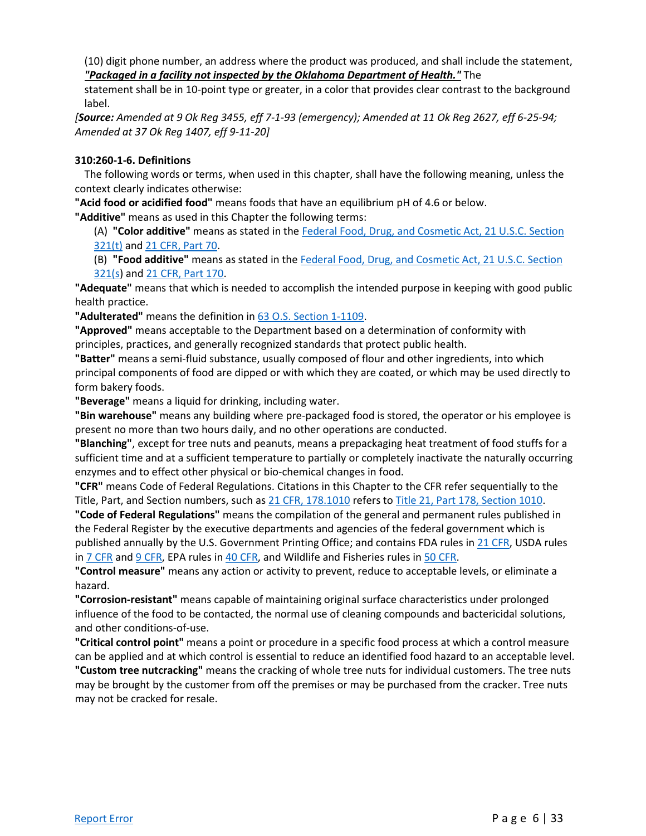(10) digit phone number, an address where the product was produced, and shall include the statement, *"Packaged in a facility not inspected by the Oklahoma Department of Health."* The

statement shall be in 10-point type or greater, in a color that provides clear contrast to the background label.

*[Source: Amended at 9 Ok Reg 3455, eff 7-1-93 (emergency); Amended at 11 Ok Reg 2627, eff 6-25-94; Amended at 37 Ok Reg 1407, eff 9-11-20]*

#### **310:260-1-6. Definitions**

The following words or terms, when used in this chapter, shall have the following meaning, unless the context clearly indicates otherwise:

**"Acid food or acidified food"** means foods that have an equilibrium pH of 4.6 or below.

**"Additive"** means as used in this Chapter the following terms:

(A) **"Color additive"** means as stated in the [Federal Food, Drug, and Cosmetic Act, 21 U.S.C. Section](http://uscode.house.gov/view.xhtml?hl=false&edition=prelim&req=granuleid%3AUSC-prelim-title21-section321&f=treesort&num=0&saved=%7CZmVkZXJhbCBmb29kIGRydWcgY29zbWV0aWMgMjEgdXNjIGNoYXB0ZXIgMQ%3D%3D%7CdHJlZXNvcnQ%3D%7CdHJ1ZQ%3D%3D%7C38%7Cfalse%7Cnull)  [321\(t\)](http://uscode.house.gov/view.xhtml?hl=false&edition=prelim&req=granuleid%3AUSC-prelim-title21-section321&f=treesort&num=0&saved=%7CZmVkZXJhbCBmb29kIGRydWcgY29zbWV0aWMgMjEgdXNjIGNoYXB0ZXIgMQ%3D%3D%7CdHJlZXNvcnQ%3D%7CdHJ1ZQ%3D%3D%7C38%7Cfalse%7Cnull) and [21 CFR, Part 70.](https://www.ecfr.gov/current/title-21/chapter-I/subchapter-A/part-70)

(B) **"Food additive"** means as stated in th[e Federal Food, Drug, and Cosmetic Act, 21 U.S.C. Section](http://uscode.house.gov/view.xhtml?hl=false&edition=prelim&req=granuleid%3AUSC-prelim-title21-section321&f=treesort&num=0&saved=%7CZmVkZXJhbCBmb29kIGRydWcgY29zbWV0aWMgMjEgdXNjIGNoYXB0ZXIgMQ%3D%3D%7CdHJlZXNvcnQ%3D%7CdHJ1ZQ%3D%3D%7C38%7Cfalse%7Cnull)  [321\(s\)](http://uscode.house.gov/view.xhtml?hl=false&edition=prelim&req=granuleid%3AUSC-prelim-title21-section321&f=treesort&num=0&saved=%7CZmVkZXJhbCBmb29kIGRydWcgY29zbWV0aWMgMjEgdXNjIGNoYXB0ZXIgMQ%3D%3D%7CdHJlZXNvcnQ%3D%7CdHJ1ZQ%3D%3D%7C38%7Cfalse%7Cnull) an[d 21 CFR, Part 170.](https://www.ecfr.gov/current/title-21/chapter-I/subchapter-B/part-170)

**"Adequate"** means that which is needed to accomplish the intended purpose in keeping with good public health practice.

**"Adulterated"** means the definition in [63 O.S. Section 1-1109.](https://www.oscn.net/applications/oscn/DeliverDocument.asp?CiteID=98399)

**"Approved"** means acceptable to the Department based on a determination of conformity with principles, practices, and generally recognized standards that protect public health.

**"Batter"** means a semi-fluid substance, usually composed of flour and other ingredients, into which principal components of food are dipped or with which they are coated, or which may be used directly to form bakery foods.

**"Beverage"** means a liquid for drinking, including water.

**"Bin warehouse"** means any building where pre-packaged food is stored, the operator or his employee is present no more than two hours daily, and no other operations are conducted.

**"Blanching"**, except for tree nuts and peanuts, means a prepackaging heat treatment of food stuffs for a sufficient time and at a sufficient temperature to partially or completely inactivate the naturally occurring enzymes and to effect other physical or bio-chemical changes in food.

**"CFR"** means Code of Federal Regulations. Citations in this Chapter to the CFR refer sequentially to the Title, Part, and Section numbers, such as [21 CFR, 178.1010](https://www.ecfr.gov/current/title-21/chapter-I/subchapter-B/part-178) refers to [Title 21, Part 178, Section 1010.](https://www.ecfr.gov/current/title-21/chapter-I/subchapter-B/part-178)

**"Code of Federal Regulations"** means the compilation of the general and permanent rules published in the Federal Register by the executive departments and agencies of the federal government which is published annually by the U.S. Government Printing Office; and contains FDA rules i[n 21 CFR,](https://www.ecfr.gov/current/title-21) USDA rules in [7 CFR](https://www.ecfr.gov/current/title-7) an[d 9 CFR,](https://www.ecfr.gov/current/title-9) EPA rules in [40 CFR,](https://www.ecfr.gov/current/title-40) and Wildlife and Fisheries rules in [50 CFR.](https://www.ecfr.gov/current/title-50)

**"Control measure"** means any action or activity to prevent, reduce to acceptable levels, or eliminate a hazard.

**"Corrosion-resistant"** means capable of maintaining original surface characteristics under prolonged influence of the food to be contacted, the normal use of cleaning compounds and bactericidal solutions, and other conditions-of-use.

**"Critical control point"** means a point or procedure in a specific food process at which a control measure can be applied and at which control is essential to reduce an identified food hazard to an acceptable level. **"Custom tree nutcracking"** means the cracking of whole tree nuts for individual customers. The tree nuts may be brought by the customer from off the premises or may be purchased from the cracker. Tree nuts may not be cracked for resale.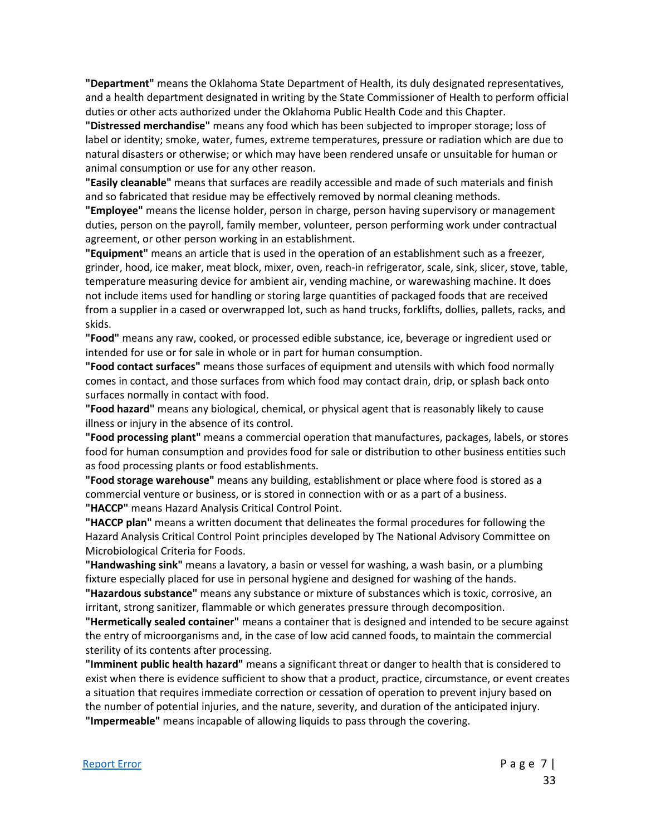**"Department"** means the Oklahoma State Department of Health, its duly designated representatives, and a health department designated in writing by the State Commissioner of Health to perform official duties or other acts authorized under the Oklahoma Public Health Code and this Chapter.

**"Distressed merchandise"** means any food which has been subjected to improper storage; loss of label or identity; smoke, water, fumes, extreme temperatures, pressure or radiation which are due to natural disasters or otherwise; or which may have been rendered unsafe or unsuitable for human or animal consumption or use for any other reason.

**"Easily cleanable"** means that surfaces are readily accessible and made of such materials and finish and so fabricated that residue may be effectively removed by normal cleaning methods.

**"Employee"** means the license holder, person in charge, person having supervisory or management duties, person on the payroll, family member, volunteer, person performing work under contractual agreement, or other person working in an establishment.

**"Equipment"** means an article that is used in the operation of an establishment such as a freezer, grinder, hood, ice maker, meat block, mixer, oven, reach-in refrigerator, scale, sink, slicer, stove, table, temperature measuring device for ambient air, vending machine, or warewashing machine. It does not include items used for handling or storing large quantities of packaged foods that are received from a supplier in a cased or overwrapped lot, such as hand trucks, forklifts, dollies, pallets, racks, and skids.

**"Food"** means any raw, cooked, or processed edible substance, ice, beverage or ingredient used or intended for use or for sale in whole or in part for human consumption.

**"Food contact surfaces"** means those surfaces of equipment and utensils with which food normally comes in contact, and those surfaces from which food may contact drain, drip, or splash back onto surfaces normally in contact with food.

**"Food hazard"** means any biological, chemical, or physical agent that is reasonably likely to cause illness or injury in the absence of its control.

**"Food processing plant"** means a commercial operation that manufactures, packages, labels, or stores food for human consumption and provides food for sale or distribution to other business entities such as food processing plants or food establishments.

**"Food storage warehouse"** means any building, establishment or place where food is stored as a commercial venture or business, or is stored in connection with or as a part of a business. **"HACCP"** means Hazard Analysis Critical Control Point.

**"HACCP plan"** means a written document that delineates the formal procedures for following the Hazard Analysis Critical Control Point principles developed by The National Advisory Committee on Microbiological Criteria for Foods.

**"Handwashing sink"** means a lavatory, a basin or vessel for washing, a wash basin, or a plumbing fixture especially placed for use in personal hygiene and designed for washing of the hands.

**"Hazardous substance"** means any substance or mixture of substances which is toxic, corrosive, an irritant, strong sanitizer, flammable or which generates pressure through decomposition.

**"Hermetically sealed container"** means a container that is designed and intended to be secure against the entry of microorganisms and, in the case of low acid canned foods, to maintain the commercial sterility of its contents after processing.

**"Imminent public health hazard"** means a significant threat or danger to health that is considered to exist when there is evidence sufficient to show that a product, practice, circumstance, or event creates a situation that requires immediate correction or cessation of operation to prevent injury based on the number of potential injuries, and the nature, severity, and duration of the anticipated injury. **"Impermeable"** means incapable of allowing liquids to pass through the covering.

#### [Report Error](mailto:ConsumerHealth@Health.OK.Gov?&subject=subject=%20OAC:310-260.%20%20Incorrect%20Citationand/or%20Broken%20Link) Page 7 | Page 7 | Page 7 | Page 7 | Page 7 | Page 7 | Page 7 | Page 7 | Page 7 | Page 7 | Page 7 | Page 7 | Page 7 | Page 7 | Page 7 | Page 7 | Page 7 | Page 7 | Page 7 | Page 7 | Page 7 | Page 7 | Page 1 | Pa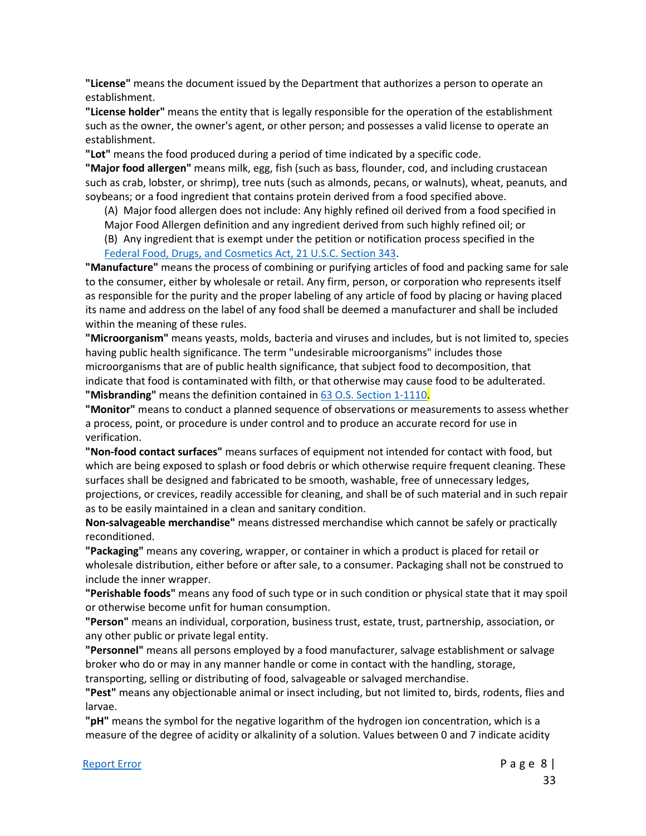**"License"** means the document issued by the Department that authorizes a person to operate an establishment.

**"License holder"** means the entity that is legally responsible for the operation of the establishment such as the owner, the owner's agent, or other person; and possesses a valid license to operate an establishment.

**"Lot"** means the food produced during a period of time indicated by a specific code.

**"Major food allergen"** means milk, egg, fish (such as bass, flounder, cod, and including crustacean such as crab, lobster, or shrimp), tree nuts (such as almonds, pecans, or walnuts), wheat, peanuts, and soybeans; or a food ingredient that contains protein derived from a food specified above.

(A) Major food allergen does not include: Any highly refined oil derived from a food specified in

Major Food Allergen definition and any ingredient derived from such highly refined oil; or

(B) Any ingredient that is exempt under the petition or notification process specified in the [Federal Food, Drugs, and Cosmetics Act, 21 U.S.C. Section 343.](http://uscode.house.gov/view.xhtml?hl=false&edition=prelim&req=granuleid%3AUSC-prelim-title21-section343&f=treesort&num=0&saved=%7CZmVkZXJhbCBmb29kIGRydWcgY29zbWV0aWMgMjEgdXNjIGNoYXB0ZXIgMQ%3D%3D%7CdHJlZXNvcnQ%3D%7CdHJ1ZQ%3D%3D%7C38%7Cfalse%7Cnull)

**"Manufacture"** means the process of combining or purifying articles of food and packing same for sale to the consumer, either by wholesale or retail. Any firm, person, or corporation who represents itself as responsible for the purity and the proper labeling of any article of food by placing or having placed its name and address on the label of any food shall be deemed a manufacturer and shall be included within the meaning of these rules.

**"Microorganism"** means yeasts, molds, bacteria and viruses and includes, but is not limited to, species having public health significance. The term "undesirable microorganisms" includes those microorganisms that are of public health significance, that subject food to decomposition, that indicate that food is contaminated with filth, or that otherwise may cause food to be adulterated. **"Misbranding"** means the definition contained in [63 O.S. Section 1-1110.](https://www.oscn.net/applications/oscn/DeliverDocument.asp?CiteID=98400)

**"Monitor"** means to conduct a planned sequence of observations or measurements to assess whether a process, point, or procedure is under control and to produce an accurate record for use in verification.

**"Non-food contact surfaces"** means surfaces of equipment not intended for contact with food, but which are being exposed to splash or food debris or which otherwise require frequent cleaning. These surfaces shall be designed and fabricated to be smooth, washable, free of unnecessary ledges, projections, or crevices, readily accessible for cleaning, and shall be of such material and in such repair as to be easily maintained in a clean and sanitary condition.

**Non-salvageable merchandise"** means distressed merchandise which cannot be safely or practically reconditioned.

**"Packaging"** means any covering, wrapper, or container in which a product is placed for retail or wholesale distribution, either before or after sale, to a consumer. Packaging shall not be construed to include the inner wrapper.

**"Perishable foods"** means any food of such type or in such condition or physical state that it may spoil or otherwise become unfit for human consumption.

**"Person"** means an individual, corporation, business trust, estate, trust, partnership, association, or any other public or private legal entity.

**"Personnel"** means all persons employed by a food manufacturer, salvage establishment or salvage broker who do or may in any manner handle or come in contact with the handling, storage,

transporting, selling or distributing of food, salvageable or salvaged merchandise.

**"Pest"** means any objectionable animal or insect including, but not limited to, birds, rodents, flies and larvae.

**"pH"** means the symbol for the negative logarithm of the hydrogen ion concentration, which is a measure of the degree of acidity or alkalinity of a solution. Values between 0 and 7 indicate acidity

#### [Report Error](mailto:ConsumerHealth@Health.OK.Gov?&subject=subject=%20OAC:310-260.%20%20Incorrect%20Citationand/or%20Broken%20Link) Page 8 |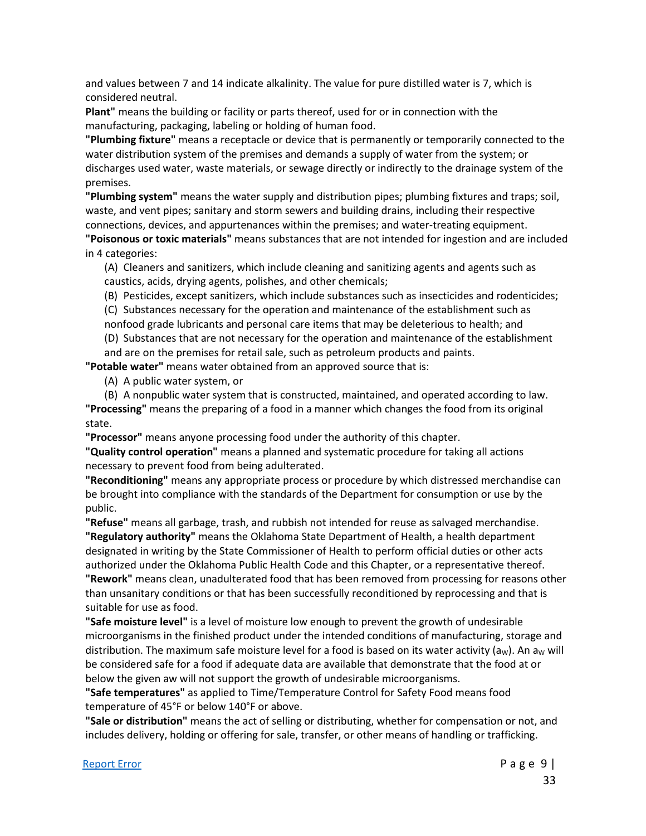and values between 7 and 14 indicate alkalinity. The value for pure distilled water is 7, which is considered neutral.

**Plant"** means the building or facility or parts thereof, used for or in connection with the manufacturing, packaging, labeling or holding of human food.

**"Plumbing fixture"** means a receptacle or device that is permanently or temporarily connected to the water distribution system of the premises and demands a supply of water from the system; or discharges used water, waste materials, or sewage directly or indirectly to the drainage system of the premises.

**"Plumbing system"** means the water supply and distribution pipes; plumbing fixtures and traps; soil, waste, and vent pipes; sanitary and storm sewers and building drains, including their respective connections, devices, and appurtenances within the premises; and water-treating equipment.

**"Poisonous or toxic materials"** means substances that are not intended for ingestion and are included in 4 categories:

(A) Cleaners and sanitizers, which include cleaning and sanitizing agents and agents such as caustics, acids, drying agents, polishes, and other chemicals;

(B) Pesticides, except sanitizers, which include substances such as insecticides and rodenticides;

(C) Substances necessary for the operation and maintenance of the establishment such as nonfood grade lubricants and personal care items that may be deleterious to health; and

(D) Substances that are not necessary for the operation and maintenance of the establishment and are on the premises for retail sale, such as petroleum products and paints.

**"Potable water"** means water obtained from an approved source that is:

(A) A public water system, or

(B) A nonpublic water system that is constructed, maintained, and operated according to law.

**"Processing"** means the preparing of a food in a manner which changes the food from its original state.

**"Processor"** means anyone processing food under the authority of this chapter.

**"Quality control operation"** means a planned and systematic procedure for taking all actions necessary to prevent food from being adulterated.

**"Reconditioning"** means any appropriate process or procedure by which distressed merchandise can be brought into compliance with the standards of the Department for consumption or use by the public.

**"Refuse"** means all garbage, trash, and rubbish not intended for reuse as salvaged merchandise. **"Regulatory authority"** means the Oklahoma State Department of Health, a health department designated in writing by the State Commissioner of Health to perform official duties or other acts authorized under the Oklahoma Public Health Code and this Chapter, or a representative thereof. **"Rework"** means clean, unadulterated food that has been removed from processing for reasons other than unsanitary conditions or that has been successfully reconditioned by reprocessing and that is suitable for use as food.

**"Safe moisture level"** is a level of moisture low enough to prevent the growth of undesirable microorganisms in the finished product under the intended conditions of manufacturing, storage and distribution. The maximum safe moisture level for a food is based on its water activity ( $a<sub>w</sub>$ ). An  $a<sub>w</sub>$  will be considered safe for a food if adequate data are available that demonstrate that the food at or below the given aw will not support the growth of undesirable microorganisms.

**"Safe temperatures"** as applied to Time/Temperature Control for Safety Food means food temperature of 45°F or below 140°F or above.

**"Sale or distribution"** means the act of selling or distributing, whether for compensation or not, and includes delivery, holding or offering for sale, transfer, or other means of handling or trafficking.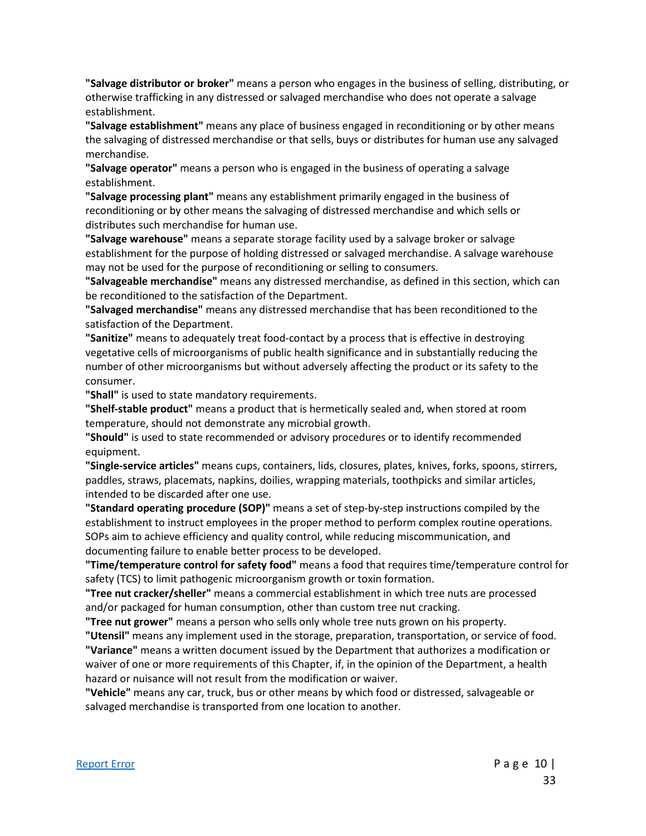**"Salvage distributor or broker"** means a person who engages in the business of selling, distributing, or otherwise trafficking in any distressed or salvaged merchandise who does not operate a salvage establishment.

**"Salvage establishment"** means any place of business engaged in reconditioning or by other means the salvaging of distressed merchandise or that sells, buys or distributes for human use any salvaged merchandise.

**"Salvage operator"** means a person who is engaged in the business of operating a salvage establishment.

**"Salvage processing plant"** means any establishment primarily engaged in the business of reconditioning or by other means the salvaging of distressed merchandise and which sells or distributes such merchandise for human use.

**"Salvage warehouse"** means a separate storage facility used by a salvage broker or salvage establishment for the purpose of holding distressed or salvaged merchandise. A salvage warehouse may not be used for the purpose of reconditioning or selling to consumers.

**"Salvageable merchandise"** means any distressed merchandise, as defined in this section, which can be reconditioned to the satisfaction of the Department.

**"Salvaged merchandise"** means any distressed merchandise that has been reconditioned to the satisfaction of the Department.

**"Sanitize"** means to adequately treat food-contact by a process that is effective in destroying vegetative cells of microorganisms of public health significance and in substantially reducing the number of other microorganisms but without adversely affecting the product or its safety to the consumer.

**"Shall"** is used to state mandatory requirements.

**"Shelf-stable product"** means a product that is hermetically sealed and, when stored at room temperature, should not demonstrate any microbial growth.

**"Should"** is used to state recommended or advisory procedures or to identify recommended equipment.

**"Single-service articles"** means cups, containers, lids, closures, plates, knives, forks, spoons, stirrers, paddles, straws, placemats, napkins, doilies, wrapping materials, toothpicks and similar articles, intended to be discarded after one use.

**"Standard operating procedure (SOP)"** means a set of step-by-step instructions compiled by the establishment to instruct employees in the proper method to perform complex routine operations. SOPs aim to achieve efficiency and quality control, while reducing miscommunication, and documenting failure to enable better process to be developed.

**"Time/temperature control for safety food"** means a food that requires time/temperature control for safety (TCS) to limit pathogenic microorganism growth or toxin formation.

**"Tree nut cracker/sheller"** means a commercial establishment in which tree nuts are processed and/or packaged for human consumption, other than custom tree nut cracking.

**"Tree nut grower"** means a person who sells only whole tree nuts grown on his property.

**"Utensil"** means any implement used in the storage, preparation, transportation, or service of food.

**"Variance"** means a written document issued by the Department that authorizes a modification or waiver of one or more requirements of this Chapter, if, in the opinion of the Department, a health hazard or nuisance will not result from the modification or waiver.

**"Vehicle"** means any car, truck, bus or other means by which food or distressed, salvageable or salvaged merchandise is transported from one location to another.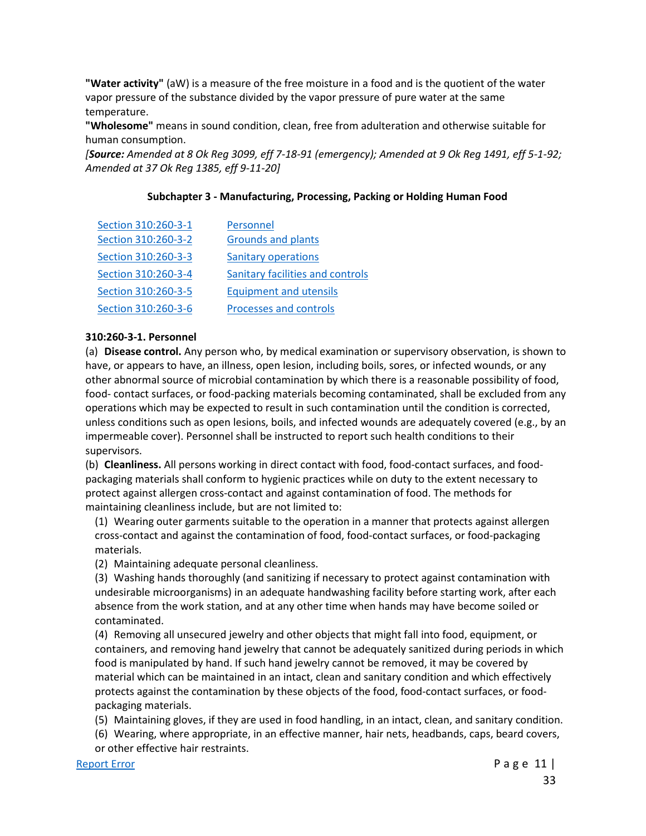**"Water activity"** (aW) is a measure of the free moisture in a food and is the quotient of the water vapor pressure of the substance divided by the vapor pressure of pure water at the same temperature.

**"Wholesome"** means in sound condition, clean, free from adulteration and otherwise suitable for human consumption.

*[Source: Amended at 8 Ok Reg 3099, eff 7-18-91 (emergency); Amended at 9 Ok Reg 1491, eff 5-1-92; Amended at 37 Ok Reg 1385, eff 9-11-20]*

#### **Subchapter 3 - Manufacturing, Processing, Packing or Holding Human Food**

| Section 310:260-3-1 | Personnel                        |
|---------------------|----------------------------------|
| Section 310:260-3-2 | <b>Grounds and plants</b>        |
| Section 310:260-3-3 | <b>Sanitary operations</b>       |
| Section 310:260-3-4 | Sanitary facilities and controls |
| Section 310:260-3-5 | <b>Equipment and utensils</b>    |
| Section 310:260-3-6 | <b>Processes and controls</b>    |

#### **310:260-3-1. Personnel**

(a) **Disease control.** Any person who, by medical examination or supervisory observation, is shown to have, or appears to have, an illness, open lesion, including boils, sores, or infected wounds, or any other abnormal source of microbial contamination by which there is a reasonable possibility of food, food- contact surfaces, or food-packing materials becoming contaminated, shall be excluded from any operations which may be expected to result in such contamination until the condition is corrected, unless conditions such as open lesions, boils, and infected wounds are adequately covered (e.g., by an impermeable cover). Personnel shall be instructed to report such health conditions to their supervisors.

(b) **Cleanliness.** All persons working in direct contact with food, food-contact surfaces, and foodpackaging materials shall conform to hygienic practices while on duty to the extent necessary to protect against allergen cross-contact and against contamination of food. The methods for maintaining cleanliness include, but are not limited to:

(1) Wearing outer garments suitable to the operation in a manner that protects against allergen cross-contact and against the contamination of food, food-contact surfaces, or food-packaging materials.

(2) Maintaining adequate personal cleanliness.

(3) Washing hands thoroughly (and sanitizing if necessary to protect against contamination with undesirable microorganisms) in an adequate handwashing facility before starting work, after each absence from the work station, and at any other time when hands may have become soiled or contaminated.

(4) Removing all unsecured jewelry and other objects that might fall into food, equipment, or containers, and removing hand jewelry that cannot be adequately sanitized during periods in which food is manipulated by hand. If such hand jewelry cannot be removed, it may be covered by material which can be maintained in an intact, clean and sanitary condition and which effectively protects against the contamination by these objects of the food, food-contact surfaces, or foodpackaging materials.

(5) Maintaining gloves, if they are used in food handling, in an intact, clean, and sanitary condition.

(6) Wearing, where appropriate, in an effective manner, hair nets, headbands, caps, beard covers,

or other effective hair restraints.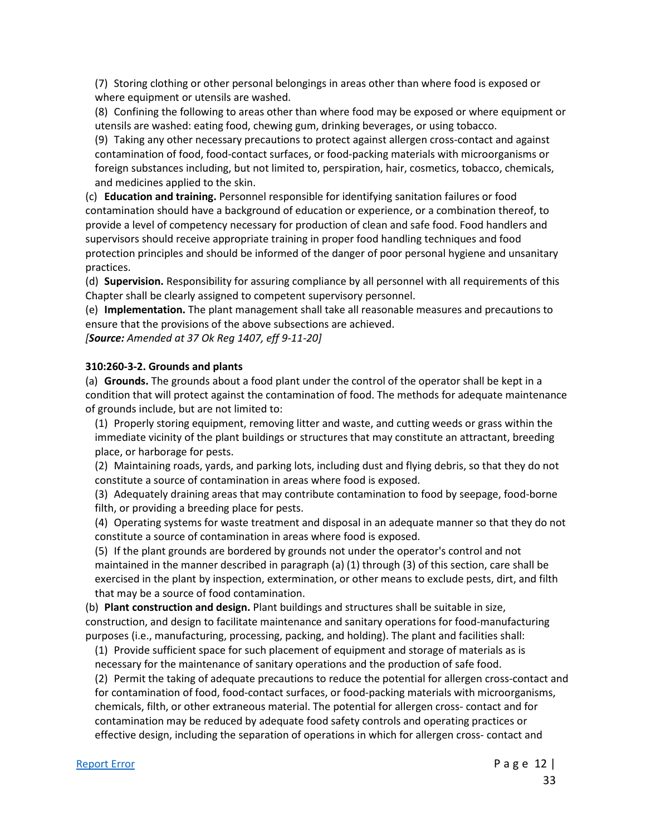(7) Storing clothing or other personal belongings in areas other than where food is exposed or where equipment or utensils are washed.

(8) Confining the following to areas other than where food may be exposed or where equipment or utensils are washed: eating food, chewing gum, drinking beverages, or using tobacco.

(9) Taking any other necessary precautions to protect against allergen cross-contact and against contamination of food, food-contact surfaces, or food-packing materials with microorganisms or foreign substances including, but not limited to, perspiration, hair, cosmetics, tobacco, chemicals, and medicines applied to the skin.

(c) **Education and training.** Personnel responsible for identifying sanitation failures or food contamination should have a background of education or experience, or a combination thereof, to provide a level of competency necessary for production of clean and safe food. Food handlers and supervisors should receive appropriate training in proper food handling techniques and food protection principles and should be informed of the danger of poor personal hygiene and unsanitary practices.

(d) **Supervision.** Responsibility for assuring compliance by all personnel with all requirements of this Chapter shall be clearly assigned to competent supervisory personnel.

(e) **Implementation.** The plant management shall take all reasonable measures and precautions to ensure that the provisions of the above subsections are achieved.

*[Source: Amended at 37 Ok Reg 1407, eff 9-11-20]*

#### **310:260-3-2. Grounds and plants**

(a) **Grounds.** The grounds about a food plant under the control of the operator shall be kept in a condition that will protect against the contamination of food. The methods for adequate maintenance of grounds include, but are not limited to:

(1) Properly storing equipment, removing litter and waste, and cutting weeds or grass within the immediate vicinity of the plant buildings or structures that may constitute an attractant, breeding place, or harborage for pests.

(2) Maintaining roads, yards, and parking lots, including dust and flying debris, so that they do not constitute a source of contamination in areas where food is exposed.

(3) Adequately draining areas that may contribute contamination to food by seepage, food-borne filth, or providing a breeding place for pests.

(4) Operating systems for waste treatment and disposal in an adequate manner so that they do not constitute a source of contamination in areas where food is exposed.

(5) If the plant grounds are bordered by grounds not under the operator's control and not maintained in the manner described in paragraph (a) (1) through (3) of this section, care shall be exercised in the plant by inspection, extermination, or other means to exclude pests, dirt, and filth that may be a source of food contamination.

(b) **Plant construction and design.** Plant buildings and structures shall be suitable in size, construction, and design to facilitate maintenance and sanitary operations for food-manufacturing purposes (i.e., manufacturing, processing, packing, and holding). The plant and facilities shall:

(1) Provide sufficient space for such placement of equipment and storage of materials as is necessary for the maintenance of sanitary operations and the production of safe food.

(2) Permit the taking of adequate precautions to reduce the potential for allergen cross-contact and for contamination of food, food-contact surfaces, or food-packing materials with microorganisms, chemicals, filth, or other extraneous material. The potential for allergen cross- contact and for contamination may be reduced by adequate food safety controls and operating practices or effective design, including the separation of operations in which for allergen cross- contact and

[Report Error](mailto:ConsumerHealth@Health.OK.Gov?&subject=subject=%20OAC:310-260.%20%20Incorrect%20Citationand/or%20Broken%20Link) **Page 12** | 33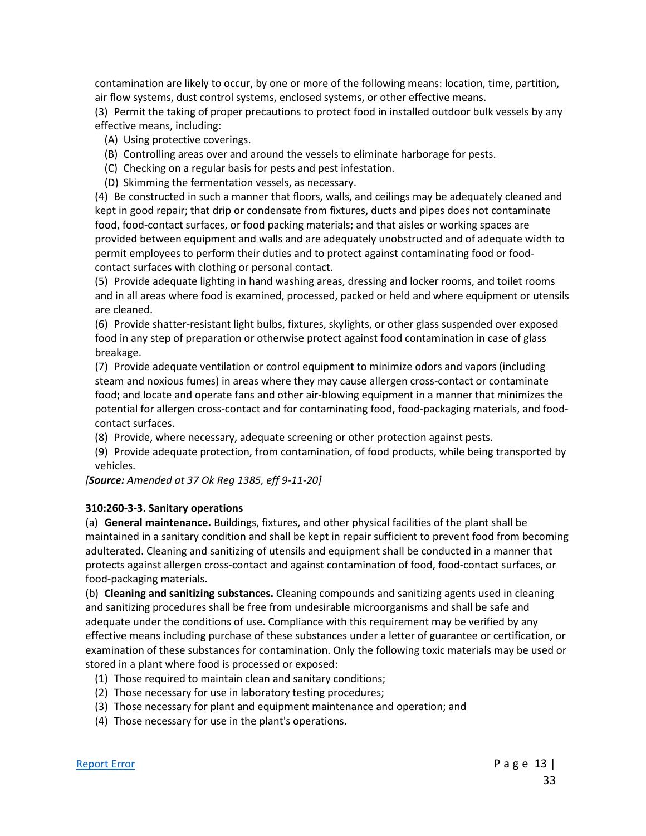contamination are likely to occur, by one or more of the following means: location, time, partition, air flow systems, dust control systems, enclosed systems, or other effective means.

(3) Permit the taking of proper precautions to protect food in installed outdoor bulk vessels by any effective means, including:

- (A) Using protective coverings.
- (B) Controlling areas over and around the vessels to eliminate harborage for pests.
- (C) Checking on a regular basis for pests and pest infestation.
- (D) Skimming the fermentation vessels, as necessary.

(4) Be constructed in such a manner that floors, walls, and ceilings may be adequately cleaned and kept in good repair; that drip or condensate from fixtures, ducts and pipes does not contaminate food, food-contact surfaces, or food packing materials; and that aisles or working spaces are provided between equipment and walls and are adequately unobstructed and of adequate width to permit employees to perform their duties and to protect against contaminating food or foodcontact surfaces with clothing or personal contact.

(5) Provide adequate lighting in hand washing areas, dressing and locker rooms, and toilet rooms and in all areas where food is examined, processed, packed or held and where equipment or utensils are cleaned.

(6) Provide shatter-resistant light bulbs, fixtures, skylights, or other glass suspended over exposed food in any step of preparation or otherwise protect against food contamination in case of glass breakage.

(7) Provide adequate ventilation or control equipment to minimize odors and vapors (including steam and noxious fumes) in areas where they may cause allergen cross-contact or contaminate food; and locate and operate fans and other air-blowing equipment in a manner that minimizes the potential for allergen cross-contact and for contaminating food, food-packaging materials, and foodcontact surfaces.

(8) Provide, where necessary, adequate screening or other protection against pests.

(9) Provide adequate protection, from contamination, of food products, while being transported by vehicles.

*[Source: Amended at 37 Ok Reg 1385, eff 9-11-20]*

#### **310:260-3-3. Sanitary operations**

(a) **General maintenance.** Buildings, fixtures, and other physical facilities of the plant shall be maintained in a sanitary condition and shall be kept in repair sufficient to prevent food from becoming adulterated. Cleaning and sanitizing of utensils and equipment shall be conducted in a manner that protects against allergen cross-contact and against contamination of food, food-contact surfaces, or food-packaging materials.

(b) **Cleaning and sanitizing substances.** Cleaning compounds and sanitizing agents used in cleaning and sanitizing procedures shall be free from undesirable microorganisms and shall be safe and adequate under the conditions of use. Compliance with this requirement may be verified by any effective means including purchase of these substances under a letter of guarantee or certification, or examination of these substances for contamination. Only the following toxic materials may be used or stored in a plant where food is processed or exposed:

- (1) Those required to maintain clean and sanitary conditions;
- (2) Those necessary for use in laboratory testing procedures;
- (3) Those necessary for plant and equipment maintenance and operation; and
- (4) Those necessary for use in the plant's operations.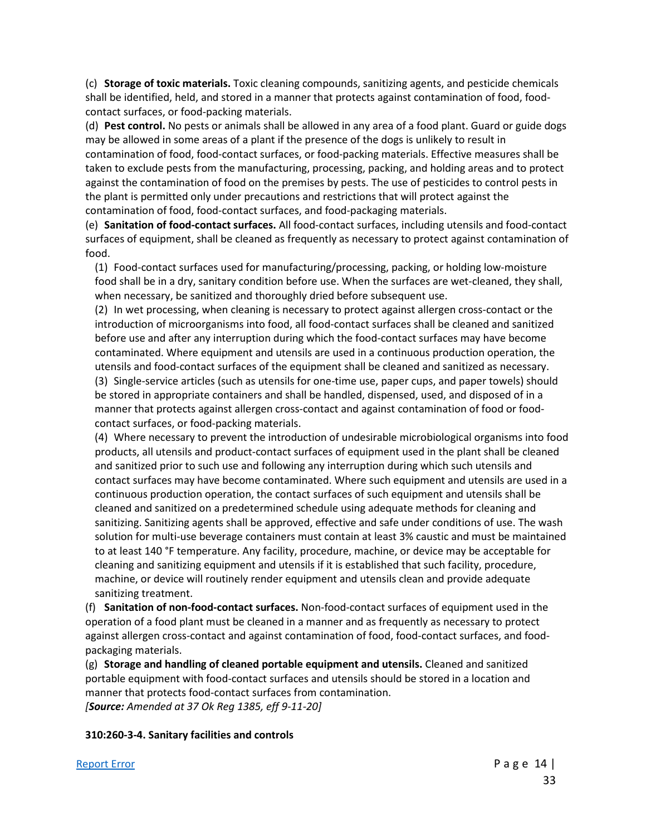(c) **Storage of toxic materials.** Toxic cleaning compounds, sanitizing agents, and pesticide chemicals shall be identified, held, and stored in a manner that protects against contamination of food, foodcontact surfaces, or food-packing materials.

(d) **Pest control.** No pests or animals shall be allowed in any area of a food plant. Guard or guide dogs may be allowed in some areas of a plant if the presence of the dogs is unlikely to result in contamination of food, food-contact surfaces, or food-packing materials. Effective measures shall be taken to exclude pests from the manufacturing, processing, packing, and holding areas and to protect against the contamination of food on the premises by pests. The use of pesticides to control pests in the plant is permitted only under precautions and restrictions that will protect against the contamination of food, food-contact surfaces, and food-packaging materials.

(e) **Sanitation of food-contact surfaces.** All food-contact surfaces, including utensils and food-contact surfaces of equipment, shall be cleaned as frequently as necessary to protect against contamination of food.

(1) Food-contact surfaces used for manufacturing/processing, packing, or holding low-moisture food shall be in a dry, sanitary condition before use. When the surfaces are wet-cleaned, they shall, when necessary, be sanitized and thoroughly dried before subsequent use.

(2) In wet processing, when cleaning is necessary to protect against allergen cross-contact or the introduction of microorganisms into food, all food-contact surfaces shall be cleaned and sanitized before use and after any interruption during which the food-contact surfaces may have become contaminated. Where equipment and utensils are used in a continuous production operation, the utensils and food-contact surfaces of the equipment shall be cleaned and sanitized as necessary. (3) Single-service articles (such as utensils for one-time use, paper cups, and paper towels) should be stored in appropriate containers and shall be handled, dispensed, used, and disposed of in a manner that protects against allergen cross-contact and against contamination of food or foodcontact surfaces, or food-packing materials.

(4) Where necessary to prevent the introduction of undesirable microbiological organisms into food products, all utensils and product-contact surfaces of equipment used in the plant shall be cleaned and sanitized prior to such use and following any interruption during which such utensils and contact surfaces may have become contaminated. Where such equipment and utensils are used in a continuous production operation, the contact surfaces of such equipment and utensils shall be cleaned and sanitized on a predetermined schedule using adequate methods for cleaning and sanitizing. Sanitizing agents shall be approved, effective and safe under conditions of use. The wash solution for multi-use beverage containers must contain at least 3% caustic and must be maintained to at least 140 °F temperature. Any facility, procedure, machine, or device may be acceptable for cleaning and sanitizing equipment and utensils if it is established that such facility, procedure, machine, or device will routinely render equipment and utensils clean and provide adequate sanitizing treatment.

(f) **Sanitation of non-food-contact surfaces.** Non-food-contact surfaces of equipment used in the operation of a food plant must be cleaned in a manner and as frequently as necessary to protect against allergen cross-contact and against contamination of food, food-contact surfaces, and foodpackaging materials.

(g) **Storage and handling of cleaned portable equipment and utensils.** Cleaned and sanitized portable equipment with food-contact surfaces and utensils should be stored in a location and manner that protects food-contact surfaces from contamination. *[Source: Amended at 37 Ok Reg 1385, eff 9-11-20]*

#### **310:260-3-4. Sanitary facilities and controls**

#### [Report Error](mailto:ConsumerHealth@Health.OK.Gov?&subject=subject=%20OAC:310-260.%20%20Incorrect%20Citationand/or%20Broken%20Link) **Page 14** | **Page 14 | Page 14 | Page 14 | Page 14 | Page 14 | Page 14 | Page 14 | Page 14 | Page 14 | Page 14 | Page 14 | Page 14 | Page 14 | Page 14 | Page 14 | Page 14 | Page 14 | Page 14 | Page 14 | Page 1**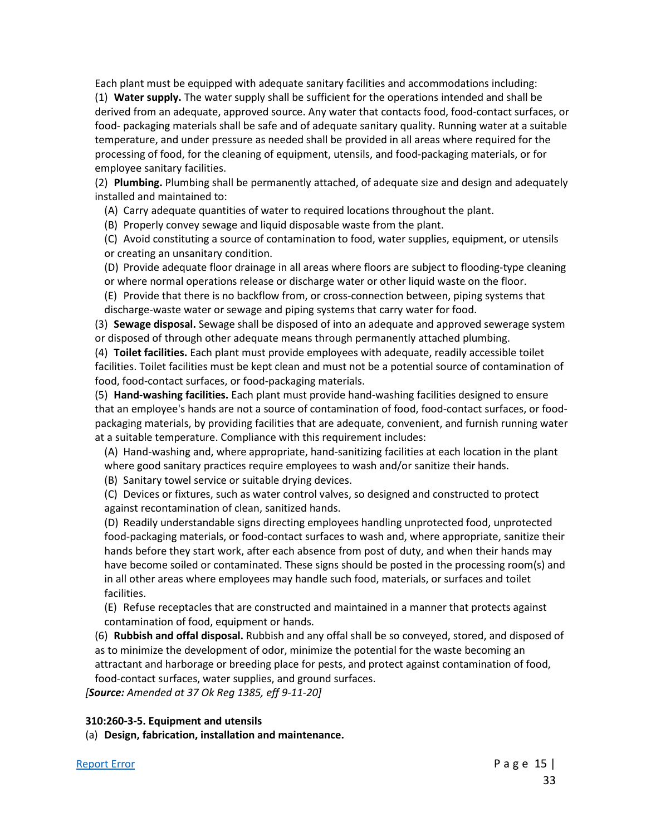Each plant must be equipped with adequate sanitary facilities and accommodations including:

(1) **Water supply.** The water supply shall be sufficient for the operations intended and shall be derived from an adequate, approved source. Any water that contacts food, food-contact surfaces, or food- packaging materials shall be safe and of adequate sanitary quality. Running water at a suitable temperature, and under pressure as needed shall be provided in all areas where required for the processing of food, for the cleaning of equipment, utensils, and food-packaging materials, or for employee sanitary facilities.

(2) **Plumbing.** Plumbing shall be permanently attached, of adequate size and design and adequately installed and maintained to:

(A) Carry adequate quantities of water to required locations throughout the plant.

(B) Properly convey sewage and liquid disposable waste from the plant.

(C) Avoid constituting a source of contamination to food, water supplies, equipment, or utensils or creating an unsanitary condition.

(D) Provide adequate floor drainage in all areas where floors are subject to flooding-type cleaning or where normal operations release or discharge water or other liquid waste on the floor.

(E) Provide that there is no backflow from, or cross-connection between, piping systems that discharge-waste water or sewage and piping systems that carry water for food.

(3) **Sewage disposal.** Sewage shall be disposed of into an adequate and approved sewerage system or disposed of through other adequate means through permanently attached plumbing.

(4) **Toilet facilities.** Each plant must provide employees with adequate, readily accessible toilet facilities. Toilet facilities must be kept clean and must not be a potential source of contamination of food, food-contact surfaces, or food-packaging materials.

(5) **Hand-washing facilities.** Each plant must provide hand-washing facilities designed to ensure that an employee's hands are not a source of contamination of food, food-contact surfaces, or foodpackaging materials, by providing facilities that are adequate, convenient, and furnish running water at a suitable temperature. Compliance with this requirement includes:

(A) Hand-washing and, where appropriate, hand-sanitizing facilities at each location in the plant where good sanitary practices require employees to wash and/or sanitize their hands.

(B) Sanitary towel service or suitable drying devices.

(C) Devices or fixtures, such as water control valves, so designed and constructed to protect against recontamination of clean, sanitized hands.

(D) Readily understandable signs directing employees handling unprotected food, unprotected food-packaging materials, or food-contact surfaces to wash and, where appropriate, sanitize their hands before they start work, after each absence from post of duty, and when their hands may have become soiled or contaminated. These signs should be posted in the processing room(s) and in all other areas where employees may handle such food, materials, or surfaces and toilet facilities.

(E) Refuse receptacles that are constructed and maintained in a manner that protects against contamination of food, equipment or hands.

(6) **Rubbish and offal disposal.** Rubbish and any offal shall be so conveyed, stored, and disposed of as to minimize the development of odor, minimize the potential for the waste becoming an attractant and harborage or breeding place for pests, and protect against contamination of food, food-contact surfaces, water supplies, and ground surfaces.

*[Source: Amended at 37 Ok Reg 1385, eff 9-11-20]*

#### **310:260-3-5. Equipment and utensils**

(a) **Design, fabrication, installation and maintenance.**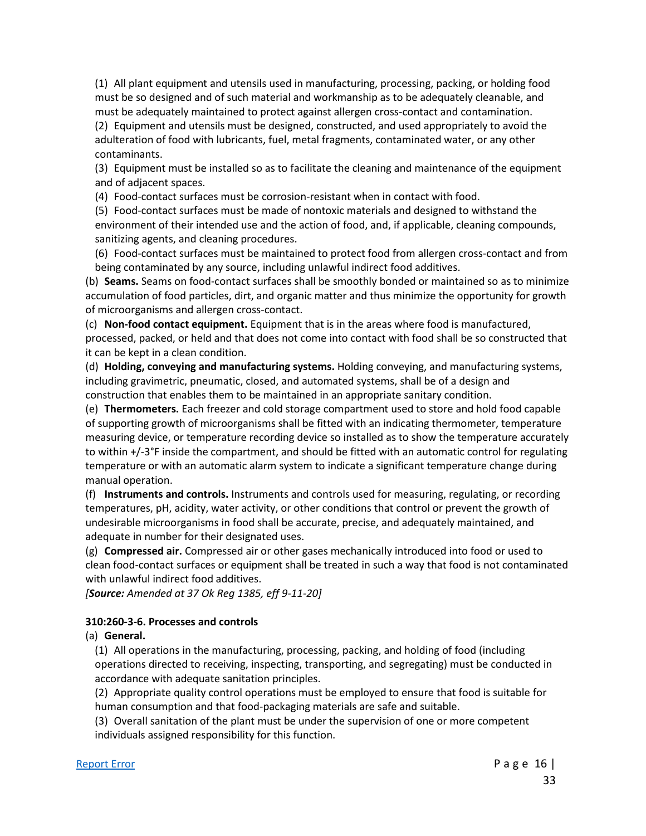(1) All plant equipment and utensils used in manufacturing, processing, packing, or holding food must be so designed and of such material and workmanship as to be adequately cleanable, and must be adequately maintained to protect against allergen cross-contact and contamination.

(2) Equipment and utensils must be designed, constructed, and used appropriately to avoid the adulteration of food with lubricants, fuel, metal fragments, contaminated water, or any other contaminants.

(3) Equipment must be installed so as to facilitate the cleaning and maintenance of the equipment and of adjacent spaces.

(4) Food-contact surfaces must be corrosion-resistant when in contact with food.

(5) Food-contact surfaces must be made of nontoxic materials and designed to withstand the environment of their intended use and the action of food, and, if applicable, cleaning compounds, sanitizing agents, and cleaning procedures.

(6) Food-contact surfaces must be maintained to protect food from allergen cross-contact and from being contaminated by any source, including unlawful indirect food additives.

(b) **Seams.** Seams on food-contact surfaces shall be smoothly bonded or maintained so as to minimize accumulation of food particles, dirt, and organic matter and thus minimize the opportunity for growth of microorganisms and allergen cross-contact.

(c) **Non-food contact equipment.** Equipment that is in the areas where food is manufactured, processed, packed, or held and that does not come into contact with food shall be so constructed that it can be kept in a clean condition.

(d) **Holding, conveying and manufacturing systems.** Holding conveying, and manufacturing systems, including gravimetric, pneumatic, closed, and automated systems, shall be of a design and construction that enables them to be maintained in an appropriate sanitary condition.

(e) **Thermometers.** Each freezer and cold storage compartment used to store and hold food capable of supporting growth of microorganisms shall be fitted with an indicating thermometer, temperature measuring device, or temperature recording device so installed as to show the temperature accurately to within +/-3°F inside the compartment, and should be fitted with an automatic control for regulating temperature or with an automatic alarm system to indicate a significant temperature change during manual operation.

(f) **Instruments and controls.** Instruments and controls used for measuring, regulating, or recording temperatures, pH, acidity, water activity, or other conditions that control or prevent the growth of undesirable microorganisms in food shall be accurate, precise, and adequately maintained, and adequate in number for their designated uses.

(g) **Compressed air.** Compressed air or other gases mechanically introduced into food or used to clean food-contact surfaces or equipment shall be treated in such a way that food is not contaminated with unlawful indirect food additives.

*[Source: Amended at 37 Ok Reg 1385, eff 9-11-20]*

## **310:260-3-6. Processes and controls**

(a) **General.**

(1) All operations in the manufacturing, processing, packing, and holding of food (including operations directed to receiving, inspecting, transporting, and segregating) must be conducted in accordance with adequate sanitation principles.

(2) Appropriate quality control operations must be employed to ensure that food is suitable for human consumption and that food-packaging materials are safe and suitable.

(3) Overall sanitation of the plant must be under the supervision of one or more competent individuals assigned responsibility for this function.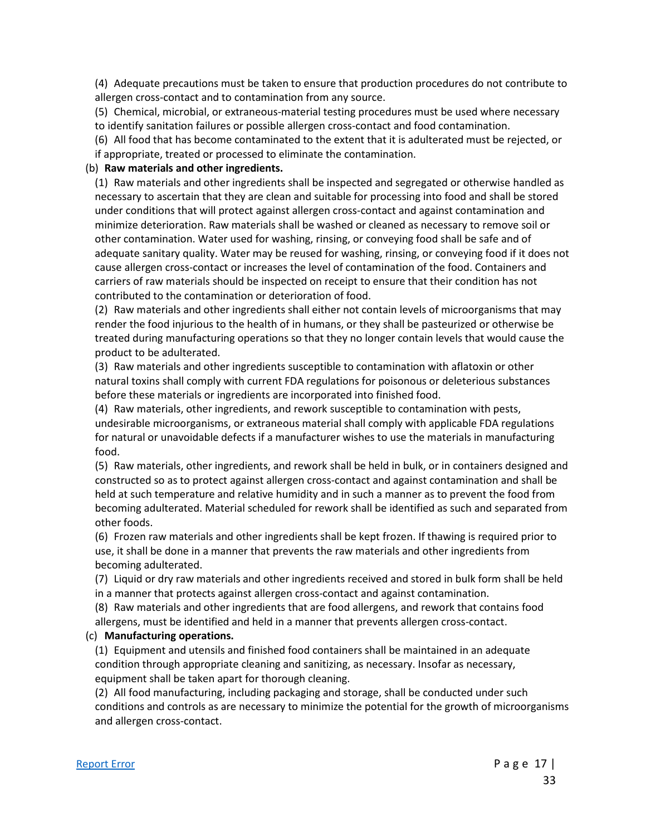(4) Adequate precautions must be taken to ensure that production procedures do not contribute to allergen cross-contact and to contamination from any source.

(5) Chemical, microbial, or extraneous-material testing procedures must be used where necessary to identify sanitation failures or possible allergen cross-contact and food contamination.

(6) All food that has become contaminated to the extent that it is adulterated must be rejected, or if appropriate, treated or processed to eliminate the contamination.

#### (b) **Raw materials and other ingredients.**

(1) Raw materials and other ingredients shall be inspected and segregated or otherwise handled as necessary to ascertain that they are clean and suitable for processing into food and shall be stored under conditions that will protect against allergen cross-contact and against contamination and minimize deterioration. Raw materials shall be washed or cleaned as necessary to remove soil or other contamination. Water used for washing, rinsing, or conveying food shall be safe and of adequate sanitary quality. Water may be reused for washing, rinsing, or conveying food if it does not cause allergen cross-contact or increases the level of contamination of the food. Containers and carriers of raw materials should be inspected on receipt to ensure that their condition has not contributed to the contamination or deterioration of food.

(2) Raw materials and other ingredients shall either not contain levels of microorganisms that may render the food injurious to the health of in humans, or they shall be pasteurized or otherwise be treated during manufacturing operations so that they no longer contain levels that would cause the product to be adulterated.

(3) Raw materials and other ingredients susceptible to contamination with aflatoxin or other natural toxins shall comply with current FDA regulations for poisonous or deleterious substances before these materials or ingredients are incorporated into finished food.

(4) Raw materials, other ingredients, and rework susceptible to contamination with pests, undesirable microorganisms, or extraneous material shall comply with applicable FDA regulations for natural or unavoidable defects if a manufacturer wishes to use the materials in manufacturing food.

(5) Raw materials, other ingredients, and rework shall be held in bulk, or in containers designed and constructed so as to protect against allergen cross-contact and against contamination and shall be held at such temperature and relative humidity and in such a manner as to prevent the food from becoming adulterated. Material scheduled for rework shall be identified as such and separated from other foods.

(6) Frozen raw materials and other ingredients shall be kept frozen. If thawing is required prior to use, it shall be done in a manner that prevents the raw materials and other ingredients from becoming adulterated.

(7) Liquid or dry raw materials and other ingredients received and stored in bulk form shall be held in a manner that protects against allergen cross-contact and against contamination.

(8) Raw materials and other ingredients that are food allergens, and rework that contains food allergens, must be identified and held in a manner that prevents allergen cross-contact.

#### (c) **Manufacturing operations.**

(1) Equipment and utensils and finished food containers shall be maintained in an adequate condition through appropriate cleaning and sanitizing, as necessary. Insofar as necessary, equipment shall be taken apart for thorough cleaning.

(2) All food manufacturing, including packaging and storage, shall be conducted under such conditions and controls as are necessary to minimize the potential for the growth of microorganisms and allergen cross-contact.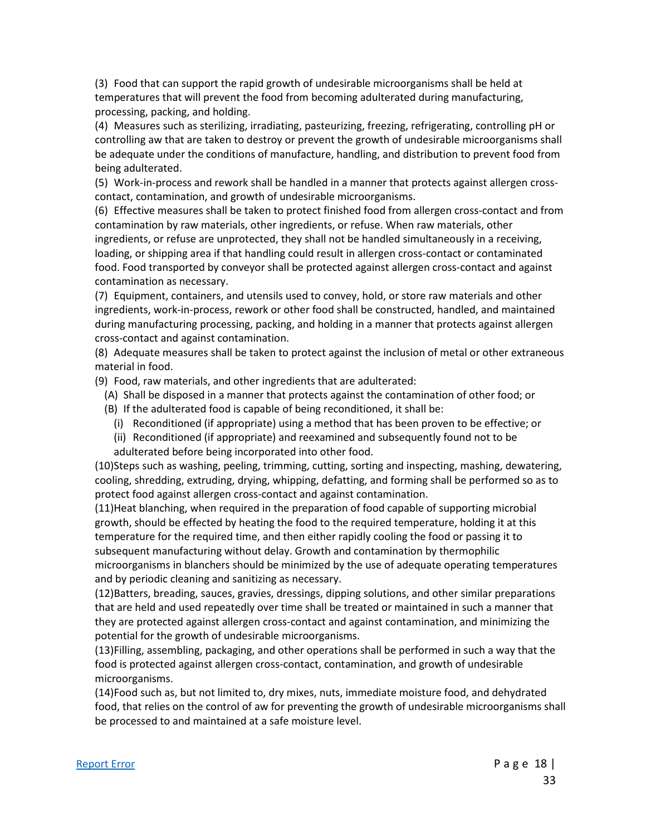(3) Food that can support the rapid growth of undesirable microorganisms shall be held at temperatures that will prevent the food from becoming adulterated during manufacturing, processing, packing, and holding.

(4) Measures such as sterilizing, irradiating, pasteurizing, freezing, refrigerating, controlling pH or controlling aw that are taken to destroy or prevent the growth of undesirable microorganisms shall be adequate under the conditions of manufacture, handling, and distribution to prevent food from being adulterated.

(5) Work-in-process and rework shall be handled in a manner that protects against allergen crosscontact, contamination, and growth of undesirable microorganisms.

(6) Effective measures shall be taken to protect finished food from allergen cross-contact and from contamination by raw materials, other ingredients, or refuse. When raw materials, other ingredients, or refuse are unprotected, they shall not be handled simultaneously in a receiving, loading, or shipping area if that handling could result in allergen cross-contact or contaminated food. Food transported by conveyor shall be protected against allergen cross-contact and against contamination as necessary.

(7) Equipment, containers, and utensils used to convey, hold, or store raw materials and other ingredients, work-in-process, rework or other food shall be constructed, handled, and maintained during manufacturing processing, packing, and holding in a manner that protects against allergen cross-contact and against contamination.

(8) Adequate measures shall be taken to protect against the inclusion of metal or other extraneous material in food.

(9) Food, raw materials, and other ingredients that are adulterated:

- (A) Shall be disposed in a manner that protects against the contamination of other food; or
- (B) If the adulterated food is capable of being reconditioned, it shall be:
	- (i) Reconditioned (if appropriate) using a method that has been proven to be effective; or
	- (ii) Reconditioned (if appropriate) and reexamined and subsequently found not to be adulterated before being incorporated into other food.

(10)Steps such as washing, peeling, trimming, cutting, sorting and inspecting, mashing, dewatering, cooling, shredding, extruding, drying, whipping, defatting, and forming shall be performed so as to protect food against allergen cross-contact and against contamination.

(11)Heat blanching, when required in the preparation of food capable of supporting microbial growth, should be effected by heating the food to the required temperature, holding it at this temperature for the required time, and then either rapidly cooling the food or passing it to subsequent manufacturing without delay. Growth and contamination by thermophilic microorganisms in blanchers should be minimized by the use of adequate operating temperatures and by periodic cleaning and sanitizing as necessary.

(12)Batters, breading, sauces, gravies, dressings, dipping solutions, and other similar preparations that are held and used repeatedly over time shall be treated or maintained in such a manner that they are protected against allergen cross-contact and against contamination, and minimizing the potential for the growth of undesirable microorganisms.

(13)Filling, assembling, packaging, and other operations shall be performed in such a way that the food is protected against allergen cross-contact, contamination, and growth of undesirable microorganisms.

(14)Food such as, but not limited to, dry mixes, nuts, immediate moisture food, and dehydrated food, that relies on the control of aw for preventing the growth of undesirable microorganisms shall be processed to and maintained at a safe moisture level.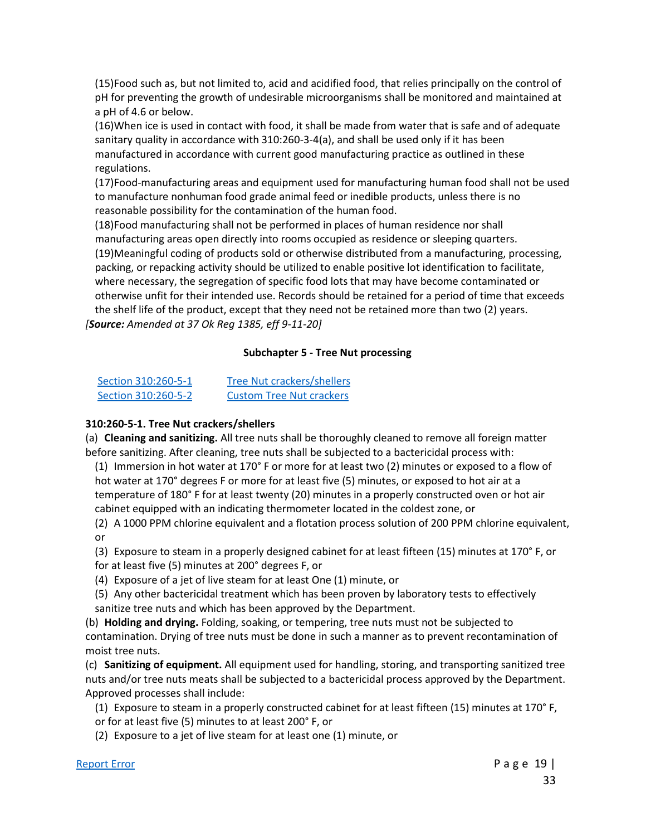(15)Food such as, but not limited to, acid and acidified food, that relies principally on the control of pH for preventing the growth of undesirable microorganisms shall be monitored and maintained at a pH of 4.6 or below.

(16)When ice is used in contact with food, it shall be made from water that is safe and of adequate sanitary quality in accordance with 310:260-3-4(a), and shall be used only if it has been manufactured in accordance with current good manufacturing practice as outlined in these regulations.

(17)Food-manufacturing areas and equipment used for manufacturing human food shall not be used to manufacture nonhuman food grade animal feed or inedible products, unless there is no reasonable possibility for the contamination of the human food.

(18)Food manufacturing shall not be performed in places of human residence nor shall manufacturing areas open directly into rooms occupied as residence or sleeping quarters. (19)Meaningful coding of products sold or otherwise distributed from a manufacturing, processing, packing, or repacking activity should be utilized to enable positive lot identification to facilitate, where necessary, the segregation of specific food lots that may have become contaminated or otherwise unfit for their intended use. Records should be retained for a period of time that exceeds the shelf life of the product, except that they need not be retained more than two (2) years. *[Source: Amended at 37 Ok Reg 1385, eff 9-11-20]*

#### **Subchapter 5 - Tree Nut processing**

| Section 310:260-5-1 | <b>Tree Nut crackers/shellers</b> |
|---------------------|-----------------------------------|
| Section 310:260-5-2 | <b>Custom Tree Nut crackers</b>   |

#### **310:260-5-1. Tree Nut crackers/shellers**

(a) **Cleaning and sanitizing.** All tree nuts shall be thoroughly cleaned to remove all foreign matter before sanitizing. After cleaning, tree nuts shall be subjected to a bactericidal process with:

(1) Immersion in hot water at 170° F or more for at least two (2) minutes or exposed to a flow of hot water at 170° degrees F or more for at least five (5) minutes, or exposed to hot air at a temperature of 180° F for at least twenty (20) minutes in a properly constructed oven or hot air cabinet equipped with an indicating thermometer located in the coldest zone, or

(2) A 1000 PPM chlorine equivalent and a flotation process solution of 200 PPM chlorine equivalent, or

(3) Exposure to steam in a properly designed cabinet for at least fifteen (15) minutes at 170° F, or for at least five (5) minutes at 200° degrees F, or

(4) Exposure of a jet of live steam for at least One (1) minute, or

(5) Any other bactericidal treatment which has been proven by laboratory tests to effectively sanitize tree nuts and which has been approved by the Department.

(b) **Holding and drying.** Folding, soaking, or tempering, tree nuts must not be subjected to contamination. Drying of tree nuts must be done in such a manner as to prevent recontamination of moist tree nuts.

(c) **Sanitizing of equipment.** All equipment used for handling, storing, and transporting sanitized tree nuts and/or tree nuts meats shall be subjected to a bactericidal process approved by the Department. Approved processes shall include:

(1) Exposure to steam in a properly constructed cabinet for at least fifteen (15) minutes at 170° F, or for at least five (5) minutes to at least 200° F, or

(2) Exposure to a jet of live steam for at least one (1) minute, or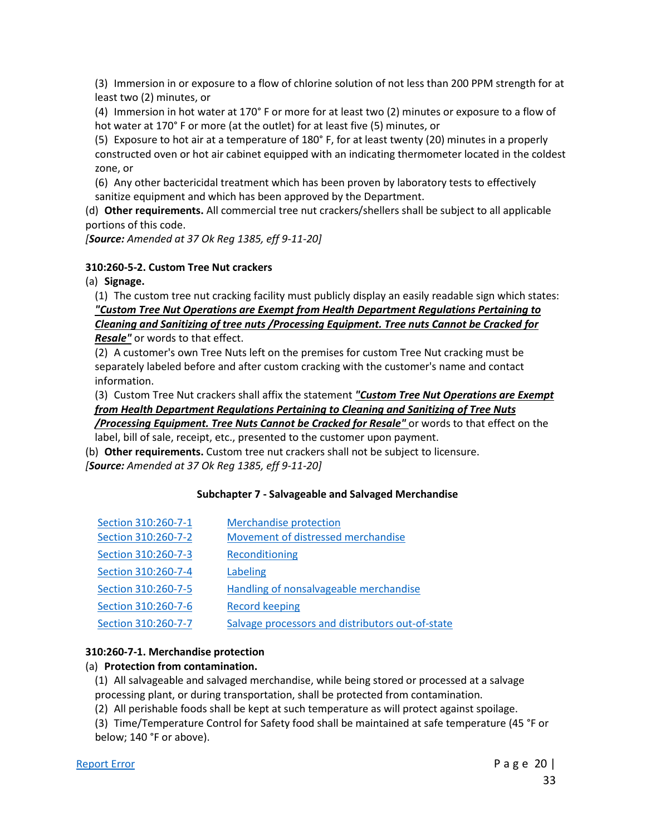(3) Immersion in or exposure to a flow of chlorine solution of not less than 200 PPM strength for at least two (2) minutes, or

(4) Immersion in hot water at 170° F or more for at least two (2) minutes or exposure to a flow of hot water at 170° F or more (at the outlet) for at least five (5) minutes, or

(5) Exposure to hot air at a temperature of 180° F, for at least twenty (20) minutes in a properly constructed oven or hot air cabinet equipped with an indicating thermometer located in the coldest zone, or

(6) Any other bactericidal treatment which has been proven by laboratory tests to effectively sanitize equipment and which has been approved by the Department.

(d) **Other requirements.** All commercial tree nut crackers/shellers shall be subject to all applicable portions of this code.

*[Source: Amended at 37 Ok Reg 1385, eff 9-11-20]*

#### **310:260-5-2. Custom Tree Nut crackers**

(a) **Signage.**

(1) The custom tree nut cracking facility must publicly display an easily readable sign which states: *"Custom Tree Nut Operations are Exempt from Health Department Regulations Pertaining to Cleaning and Sanitizing of tree nuts /Processing Equipment. Tree nuts Cannot be Cracked for Resale"* or words to that effect.

(2) A customer's own Tree Nuts left on the premises for custom Tree Nut cracking must be separately labeled before and after custom cracking with the customer's name and contact information.

(3) Custom Tree Nut crackers shall affix the statement *"Custom Tree Nut Operations are Exempt from Health Department Regulations Pertaining to Cleaning and Sanitizing of Tree Nuts* 

*/Processing Equipment. Tree Nuts Cannot be Cracked for Resale"* or words to that effect on the label, bill of sale, receipt, etc., presented to the customer upon payment.

(b) **Other requirements.** Custom tree nut crackers shall not be subject to licensure. *[Source: Amended at 37 Ok Reg 1385, eff 9-11-20]*

#### **Subchapter 7 - Salvageable and Salvaged Merchandise**

| Section 310:260-7-1 | <b>Merchandise protection</b>                    |
|---------------------|--------------------------------------------------|
| Section 310:260-7-2 | Movement of distressed merchandise               |
| Section 310:260-7-3 | Reconditioning                                   |
| Section 310:260-7-4 | Labeling                                         |
| Section 310:260-7-5 | Handling of nonsalvageable merchandise           |
| Section 310:260-7-6 | <b>Record keeping</b>                            |
| Section 310:260-7-7 | Salvage processors and distributors out-of-state |

#### **310:260-7-1. Merchandise protection**

## (a) **Protection from contamination.**

(1) All salvageable and salvaged merchandise, while being stored or processed at a salvage

processing plant, or during transportation, shall be protected from contamination.

(2) All perishable foods shall be kept at such temperature as will protect against spoilage.

(3) Time/Temperature Control for Safety food shall be maintained at safe temperature (45 °F or below; 140 °F or above).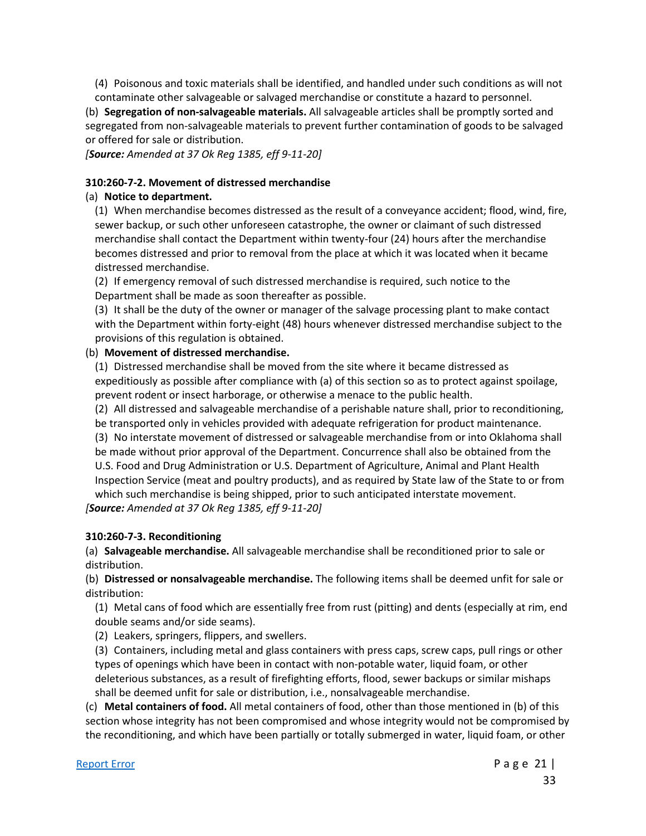(4) Poisonous and toxic materials shall be identified, and handled under such conditions as will not contaminate other salvageable or salvaged merchandise or constitute a hazard to personnel.

(b) **Segregation of non-salvageable materials.** All salvageable articles shall be promptly sorted and segregated from non-salvageable materials to prevent further contamination of goods to be salvaged or offered for sale or distribution.

*[Source: Amended at 37 Ok Reg 1385, eff 9-11-20]*

#### **310:260-7-2. Movement of distressed merchandise**

#### (a) **Notice to department.**

(1) When merchandise becomes distressed as the result of a conveyance accident; flood, wind, fire, sewer backup, or such other unforeseen catastrophe, the owner or claimant of such distressed merchandise shall contact the Department within twenty-four (24) hours after the merchandise becomes distressed and prior to removal from the place at which it was located when it became distressed merchandise.

(2) If emergency removal of such distressed merchandise is required, such notice to the Department shall be made as soon thereafter as possible.

(3) It shall be the duty of the owner or manager of the salvage processing plant to make contact with the Department within forty-eight (48) hours whenever distressed merchandise subject to the provisions of this regulation is obtained.

#### (b) **Movement of distressed merchandise.**

(1) Distressed merchandise shall be moved from the site where it became distressed as expeditiously as possible after compliance with (a) of this section so as to protect against spoilage, prevent rodent or insect harborage, or otherwise a menace to the public health.

(2) All distressed and salvageable merchandise of a perishable nature shall, prior to reconditioning, be transported only in vehicles provided with adequate refrigeration for product maintenance.

(3) No interstate movement of distressed or salvageable merchandise from or into Oklahoma shall be made without prior approval of the Department. Concurrence shall also be obtained from the U.S. Food and Drug Administration or U.S. Department of Agriculture, Animal and Plant Health Inspection Service (meat and poultry products), and as required by State law of the State to or from which such merchandise is being shipped, prior to such anticipated interstate movement.

*[Source: Amended at 37 Ok Reg 1385, eff 9-11-20]*

## **310:260-7-3. Reconditioning**

(a) **Salvageable merchandise.** All salvageable merchandise shall be reconditioned prior to sale or distribution.

(b) **Distressed or nonsalvageable merchandise.** The following items shall be deemed unfit for sale or distribution:

(1) Metal cans of food which are essentially free from rust (pitting) and dents (especially at rim, end double seams and/or side seams).

(2) Leakers, springers, flippers, and swellers.

(3) Containers, including metal and glass containers with press caps, screw caps, pull rings or other types of openings which have been in contact with non-potable water, liquid foam, or other deleterious substances, as a result of firefighting efforts, flood, sewer backups or similar mishaps shall be deemed unfit for sale or distribution, i.e., nonsalvageable merchandise.

(c) **Metal containers of food.** All metal containers of food, other than those mentioned in (b) of this section whose integrity has not been compromised and whose integrity would not be compromised by the reconditioning, and which have been partially or totally submerged in water, liquid foam, or other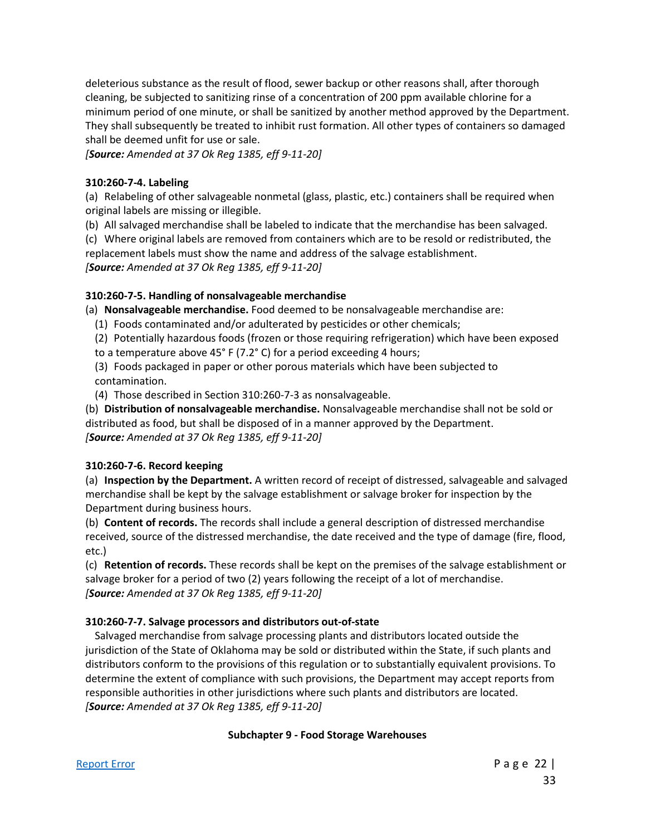deleterious substance as the result of flood, sewer backup or other reasons shall, after thorough cleaning, be subjected to sanitizing rinse of a concentration of 200 ppm available chlorine for a minimum period of one minute, or shall be sanitized by another method approved by the Department. They shall subsequently be treated to inhibit rust formation. All other types of containers so damaged shall be deemed unfit for use or sale.

*[Source: Amended at 37 Ok Reg 1385, eff 9-11-20]*

#### **310:260-7-4. Labeling**

(a) Relabeling of other salvageable nonmetal (glass, plastic, etc.) containers shall be required when original labels are missing or illegible.

(b) All salvaged merchandise shall be labeled to indicate that the merchandise has been salvaged.

(c) Where original labels are removed from containers which are to be resold or redistributed, the replacement labels must show the name and address of the salvage establishment.

*[Source: Amended at 37 Ok Reg 1385, eff 9-11-20]*

## **310:260-7-5. Handling of nonsalvageable merchandise**

(a) **Nonsalvageable merchandise.** Food deemed to be nonsalvageable merchandise are:

- (1) Foods contaminated and/or adulterated by pesticides or other chemicals;
- (2) Potentially hazardous foods (frozen or those requiring refrigeration) which have been exposed to a temperature above 45° F (7.2° C) for a period exceeding 4 hours;
- (3) Foods packaged in paper or other porous materials which have been subjected to contamination.
- (4) Those described in Section 310:260-7-3 as nonsalvageable.

(b) **Distribution of nonsalvageable merchandise.** Nonsalvageable merchandise shall not be sold or distributed as food, but shall be disposed of in a manner approved by the Department. *[Source: Amended at 37 Ok Reg 1385, eff 9-11-20]*

## **310:260-7-6. Record keeping**

(a) **Inspection by the Department.** A written record of receipt of distressed, salvageable and salvaged merchandise shall be kept by the salvage establishment or salvage broker for inspection by the Department during business hours.

(b) **Content of records.** The records shall include a general description of distressed merchandise received, source of the distressed merchandise, the date received and the type of damage (fire, flood, etc.)

(c) **Retention of records.** These records shall be kept on the premises of the salvage establishment or salvage broker for a period of two (2) years following the receipt of a lot of merchandise. *[Source: Amended at 37 Ok Reg 1385, eff 9-11-20]*

## **310:260-7-7. Salvage processors and distributors out-of-state**

Salvaged merchandise from salvage processing plants and distributors located outside the jurisdiction of the State of Oklahoma may be sold or distributed within the State, if such plants and distributors conform to the provisions of this regulation or to substantially equivalent provisions. To determine the extent of compliance with such provisions, the Department may accept reports from responsible authorities in other jurisdictions where such plants and distributors are located. *[Source: Amended at 37 Ok Reg 1385, eff 9-11-20]*

## **Subchapter 9 - Food Storage Warehouses**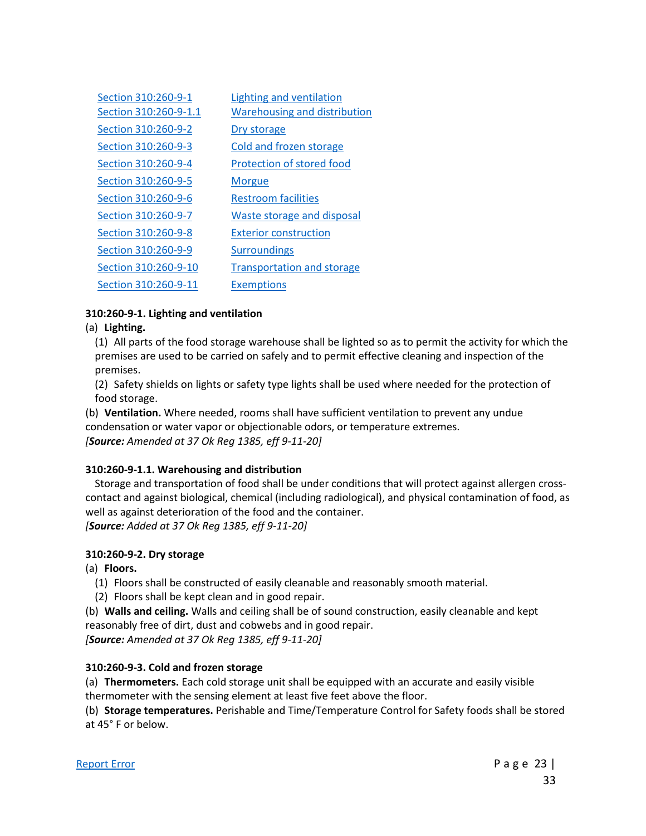| Section 310:260-9-1<br>Section 310:260-9-1.1 | Lighting and ventilation<br><b>Warehousing and distribution</b> |
|----------------------------------------------|-----------------------------------------------------------------|
| Section 310:260-9-2                          | Dry storage                                                     |
| Section 310:260-9-3                          | Cold and frozen storage                                         |
| Section 310:260-9-4                          | Protection of stored food                                       |
| Section 310:260-9-5                          | <b>Morgue</b>                                                   |
| Section 310:260-9-6                          | <b>Restroom facilities</b>                                      |
| Section 310:260-9-7                          | Waste storage and disposal                                      |
| Section 310:260-9-8                          | <b>Exterior construction</b>                                    |
| Section 310:260-9-9                          | <b>Surroundings</b>                                             |
| Section 310:260-9-10                         | <b>Transportation and storage</b>                               |
| Section 310:260-9-11                         | <b>Exemptions</b>                                               |

#### **310:260-9-1. Lighting and ventilation**

#### (a) **Lighting.**

(1) All parts of the food storage warehouse shall be lighted so as to permit the activity for which the premises are used to be carried on safely and to permit effective cleaning and inspection of the premises.

(2) Safety shields on lights or safety type lights shall be used where needed for the protection of food storage.

(b) **Ventilation.** Where needed, rooms shall have sufficient ventilation to prevent any undue condensation or water vapor or objectionable odors, or temperature extremes. *[Source: Amended at 37 Ok Reg 1385, eff 9-11-20]*

#### **310:260-9-1.1. Warehousing and distribution**

Storage and transportation of food shall be under conditions that will protect against allergen crosscontact and against biological, chemical (including radiological), and physical contamination of food, as well as against deterioration of the food and the container. *[Source: Added at 37 Ok Reg 1385, eff 9-11-20]*

#### **310:260-9-2. Dry storage**

(a) **Floors.**

- (1) Floors shall be constructed of easily cleanable and reasonably smooth material.
- (2) Floors shall be kept clean and in good repair.

(b) **Walls and ceiling.** Walls and ceiling shall be of sound construction, easily cleanable and kept reasonably free of dirt, dust and cobwebs and in good repair.

*[Source: Amended at 37 Ok Reg 1385, eff 9-11-20]*

## **310:260-9-3. Cold and frozen storage**

(a) **Thermometers.** Each cold storage unit shall be equipped with an accurate and easily visible thermometer with the sensing element at least five feet above the floor.

(b) **Storage temperatures.** Perishable and Time/Temperature Control for Safety foods shall be stored at 45° F or below.

[Report Error](mailto:ConsumerHealth@Health.OK.Gov?&subject=subject=%20OAC:310-260.%20%20Incorrect%20Citationand/or%20Broken%20Link) **Page 23** | 33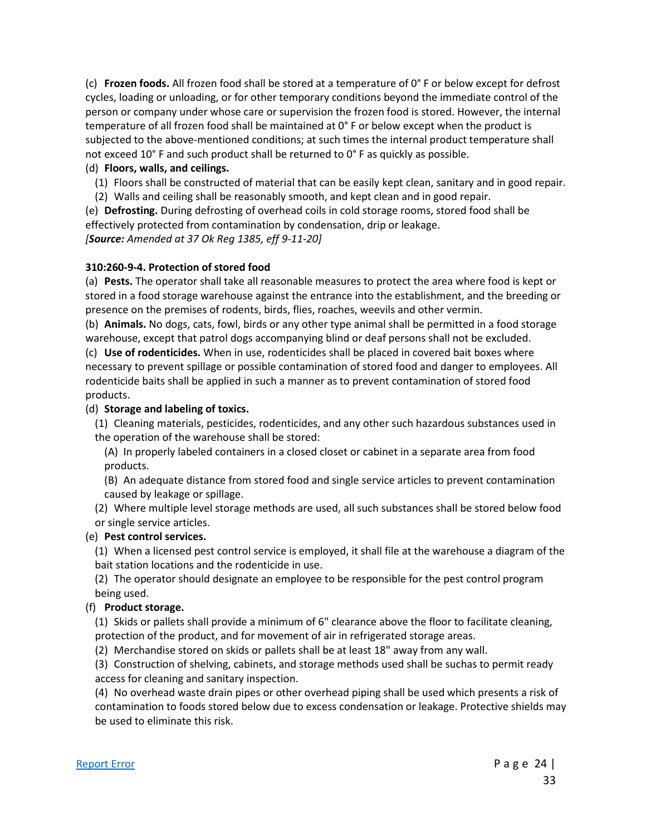(c) **Frozen foods.** All frozen food shall be stored at a temperature of 0° F or below except for defrost cycles, loading or unloading, or for other temporary conditions beyond the immediate control of the person or company under whose care or supervision the frozen food is stored. However, the internal temperature of all frozen food shall be maintained at 0° F or below except when the product is subjected to the above-mentioned conditions; at such times the internal product temperature shall not exceed 10° F and such product shall be returned to 0° F as quickly as possible.

#### (d) **Floors, walls, and ceilings.**

- (1) Floors shall be constructed of material that can be easily kept clean, sanitary and in good repair.
- (2) Walls and ceiling shall be reasonably smooth, and kept clean and in good repair.

(e) **Defrosting.** During defrosting of overhead coils in cold storage rooms, stored food shall be effectively protected from contamination by condensation, drip or leakage.

*[Source: Amended at 37 Ok Reg 1385, eff 9-11-20]*

#### **310:260-9-4. Protection of stored food**

(a) **Pests.** The operator shall take all reasonable measures to protect the area where food is kept or stored in a food storage warehouse against the entrance into the establishment, and the breeding or presence on the premises of rodents, birds, flies, roaches, weevils and other vermin.

(b) **Animals.** No dogs, cats, fowl, birds or any other type animal shall be permitted in a food storage warehouse, except that patrol dogs accompanying blind or deaf persons shall not be excluded.

(c) **Use of rodenticides.** When in use, rodenticides shall be placed in covered bait boxes where necessary to prevent spillage or possible contamination of stored food and danger to employees. All rodenticide baits shall be applied in such a manner as to prevent contamination of stored food products.

#### (d) **Storage and labeling of toxics.**

- (1) Cleaning materials, pesticides, rodenticides, and any other such hazardous substances used in the operation of the warehouse shall be stored:
	- (A) In properly labeled containers in a closed closet or cabinet in a separate area from food products.
	- (B) An adequate distance from stored food and single service articles to prevent contamination caused by leakage or spillage.
- (2) Where multiple level storage methods are used, all such substances shall be stored below food or single service articles.

## (e) **Pest control services.**

(1) When a licensed pest control service is employed, it shall file at the warehouse a diagram of the bait station locations and the rodenticide in use.

(2) The operator should designate an employee to be responsible for the pest control program being used.

## (f) **Product storage.**

(1) Skids or pallets shall provide a minimum of 6" clearance above the floor to facilitate cleaning, protection of the product, and for movement of air in refrigerated storage areas.

(2) Merchandise stored on skids or pallets shall be at least 18" away from any wall.

(3) Construction of shelving, cabinets, and storage methods used shall be suchas to permit ready access for cleaning and sanitary inspection.

(4) No overhead waste drain pipes or other overhead piping shall be used which presents a risk of contamination to foods stored below due to excess condensation or leakage. Protective shields may be used to eliminate this risk.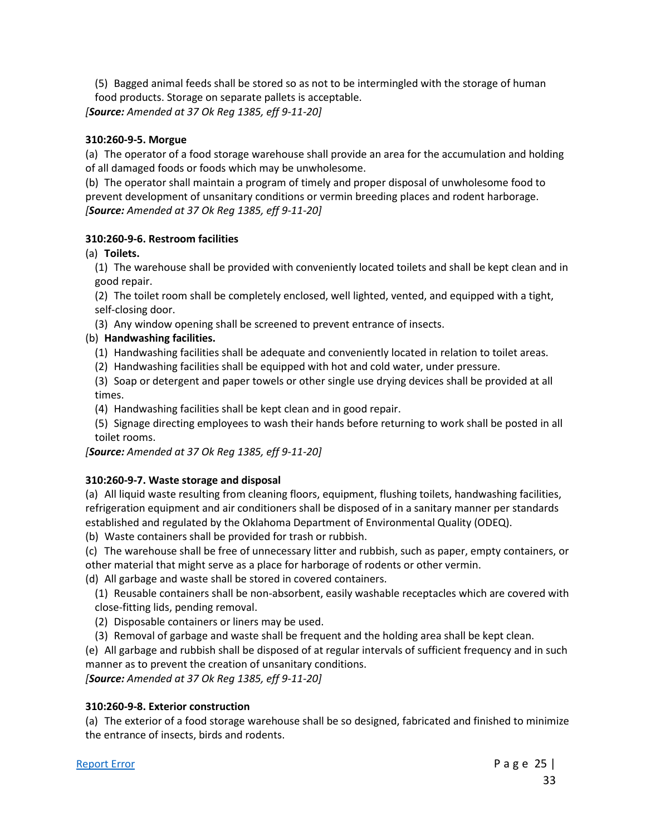(5) Bagged animal feeds shall be stored so as not to be intermingled with the storage of human food products. Storage on separate pallets is acceptable.

*[Source: Amended at 37 Ok Reg 1385, eff 9-11-20]*

## **310:260-9-5. Morgue**

(a) The operator of a food storage warehouse shall provide an area for the accumulation and holding of all damaged foods or foods which may be unwholesome.

(b) The operator shall maintain a program of timely and proper disposal of unwholesome food to prevent development of unsanitary conditions or vermin breeding places and rodent harborage. *[Source: Amended at 37 Ok Reg 1385, eff 9-11-20]*

#### **310:260-9-6. Restroom facilities**

(a) **Toilets.**

(1) The warehouse shall be provided with conveniently located toilets and shall be kept clean and in good repair.

(2) The toilet room shall be completely enclosed, well lighted, vented, and equipped with a tight, self-closing door.

(3) Any window opening shall be screened to prevent entrance of insects.

## (b) **Handwashing facilities.**

- (1) Handwashing facilities shall be adequate and conveniently located in relation to toilet areas.
- (2) Handwashing facilities shall be equipped with hot and cold water, under pressure.

(3) Soap or detergent and paper towels or other single use drying devices shall be provided at all times.

- (4) Handwashing facilities shall be kept clean and in good repair.
- (5) Signage directing employees to wash their hands before returning to work shall be posted in all toilet rooms.

*[Source: Amended at 37 Ok Reg 1385, eff 9-11-20]*

## **310:260-9-7. Waste storage and disposal**

(a) All liquid waste resulting from cleaning floors, equipment, flushing toilets, handwashing facilities, refrigeration equipment and air conditioners shall be disposed of in a sanitary manner per standards established and regulated by the Oklahoma Department of Environmental Quality (ODEQ).

(b) Waste containers shall be provided for trash or rubbish.

(c) The warehouse shall be free of unnecessary litter and rubbish, such as paper, empty containers, or other material that might serve as a place for harborage of rodents or other vermin.

(d) All garbage and waste shall be stored in covered containers.

- (1) Reusable containers shall be non-absorbent, easily washable receptacles which are covered with close-fitting lids, pending removal.
- (2) Disposable containers or liners may be used.
- (3) Removal of garbage and waste shall be frequent and the holding area shall be kept clean.

(e) All garbage and rubbish shall be disposed of at regular intervals of sufficient frequency and in such manner as to prevent the creation of unsanitary conditions.

*[Source: Amended at 37 Ok Reg 1385, eff 9-11-20]*

## **310:260-9-8. Exterior construction**

(a) The exterior of a food storage warehouse shall be so designed, fabricated and finished to minimize the entrance of insects, birds and rodents.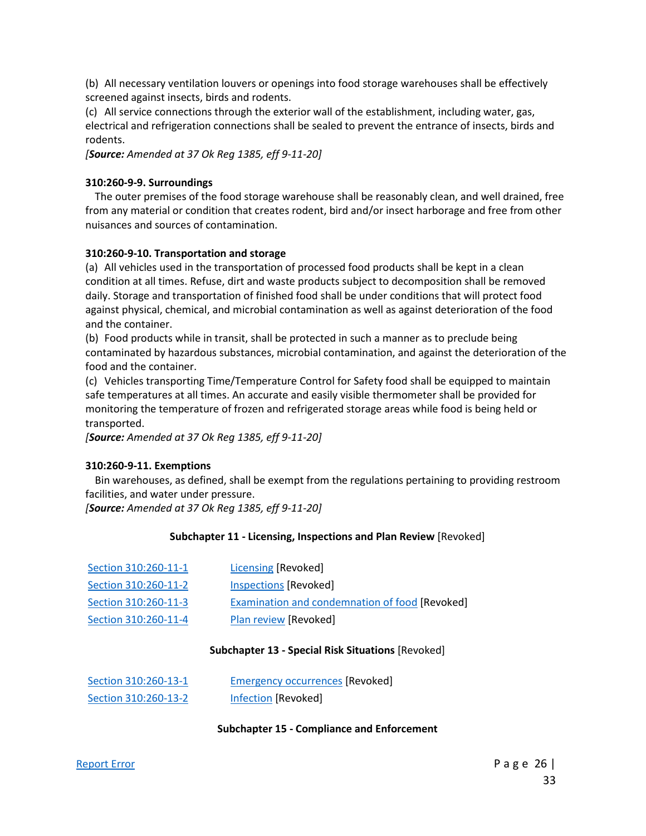(b) All necessary ventilation louvers or openings into food storage warehouses shall be effectively screened against insects, birds and rodents.

(c) All service connections through the exterior wall of the establishment, including water, gas, electrical and refrigeration connections shall be sealed to prevent the entrance of insects, birds and rodents.

*[Source: Amended at 37 Ok Reg 1385, eff 9-11-20]*

#### **310:260-9-9. Surroundings**

The outer premises of the food storage warehouse shall be reasonably clean, and well drained, free from any material or condition that creates rodent, bird and/or insect harborage and free from other nuisances and sources of contamination.

#### **310:260-9-10. Transportation and storage**

(a) All vehicles used in the transportation of processed food products shall be kept in a clean condition at all times. Refuse, dirt and waste products subject to decomposition shall be removed daily. Storage and transportation of finished food shall be under conditions that will protect food against physical, chemical, and microbial contamination as well as against deterioration of the food and the container.

(b) Food products while in transit, shall be protected in such a manner as to preclude being contaminated by hazardous substances, microbial contamination, and against the deterioration of the food and the container.

(c) Vehicles transporting Time/Temperature Control for Safety food shall be equipped to maintain safe temperatures at all times. An accurate and easily visible thermometer shall be provided for monitoring the temperature of frozen and refrigerated storage areas while food is being held or transported.

*[Source: Amended at 37 Ok Reg 1385, eff 9-11-20]*

#### **310:260-9-11. Exemptions**

Bin warehouses, as defined, shall be exempt from the regulations pertaining to providing restroom facilities, and water under pressure.

*[Source: Amended at 37 Ok Reg 1385, eff 9-11-20]*

#### **Subchapter 11 - Licensing, Inspections and Plan Review** [Revoked]

| Section 310:260-11-1 | Licensing [Revoked]                            |
|----------------------|------------------------------------------------|
| Section 310:260-11-2 | Inspections [Revoked]                          |
| Section 310:260-11-3 | Examination and condemnation of food [Revoked] |
| Section 310:260-11-4 | Plan review [Revoked]                          |

#### **Subchapter 13 - Special Risk Situations** [Revoked]

| Section 310:260-13-1 | <b>Emergency occurrences [Revoked]</b> |
|----------------------|----------------------------------------|
| Section 310:260-13-2 | Infection [Revoked]                    |

#### **Subchapter 15 - Compliance and Enforcement**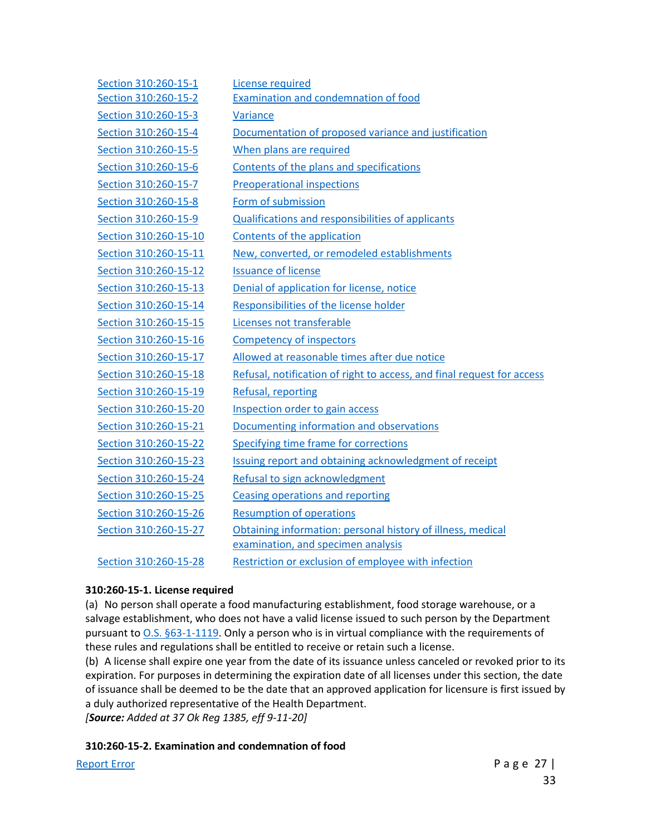| Section 310:260-15-1  | License required                                                       |
|-----------------------|------------------------------------------------------------------------|
| Section 310:260-15-2  | <b>Examination and condemnation of food</b>                            |
| Section 310:260-15-3  | Variance                                                               |
| Section 310:260-15-4  | Documentation of proposed variance and justification                   |
| Section 310:260-15-5  | When plans are required                                                |
| Section 310:260-15-6  | Contents of the plans and specifications                               |
| Section 310:260-15-7  | <b>Preoperational inspections</b>                                      |
| Section 310:260-15-8  | Form of submission                                                     |
| Section 310:260-15-9  | <b>Qualifications and responsibilities of applicants</b>               |
| Section 310:260-15-10 | Contents of the application                                            |
| Section 310:260-15-11 | New, converted, or remodeled establishments                            |
| Section 310:260-15-12 | <b>Issuance of license</b>                                             |
| Section 310:260-15-13 | Denial of application for license, notice                              |
| Section 310:260-15-14 | Responsibilities of the license holder                                 |
| Section 310:260-15-15 | Licenses not transferable                                              |
| Section 310:260-15-16 | <b>Competency of inspectors</b>                                        |
| Section 310:260-15-17 | Allowed at reasonable times after due notice                           |
| Section 310:260-15-18 | Refusal, notification of right to access, and final request for access |
| Section 310:260-15-19 | Refusal, reporting                                                     |
| Section 310:260-15-20 | Inspection order to gain access                                        |
| Section 310:260-15-21 | Documenting information and observations                               |
| Section 310:260-15-22 | Specifying time frame for corrections                                  |
| Section 310:260-15-23 | Issuing report and obtaining acknowledgment of receipt                 |
| Section 310:260-15-24 | Refusal to sign acknowledgment                                         |
| Section 310:260-15-25 | Ceasing operations and reporting                                       |
| Section 310:260-15-26 | <b>Resumption of operations</b>                                        |
| Section 310:260-15-27 | Obtaining information: personal history of illness, medical            |
|                       | examination, and specimen analysis                                     |
| Section 310:260-15-28 | Restriction or exclusion of employee with infection                    |

## **310:260-15-1. License required**

(a) No person shall operate a food manufacturing establishment, food storage warehouse, or a salvage establishment, who does not have a valid license issued to such person by the Department pursuant to [O.S. §63-1-1119.](https://www.oscn.net/applications/oscn/DeliverDocument.asp?CiteID=98409) Only a person who is in virtual compliance with the requirements of these rules and regulations shall be entitled to receive or retain such a license.

(b) A license shall expire one year from the date of its issuance unless canceled or revoked prior to its expiration. For purposes in determining the expiration date of all licenses under this section, the date of issuance shall be deemed to be the date that an approved application for licensure is first issued by a duly authorized representative of the Health Department.

*[Source: Added at 37 Ok Reg 1385, eff 9-11-20]*

#### **310:260-15-2. Examination and condemnation of food**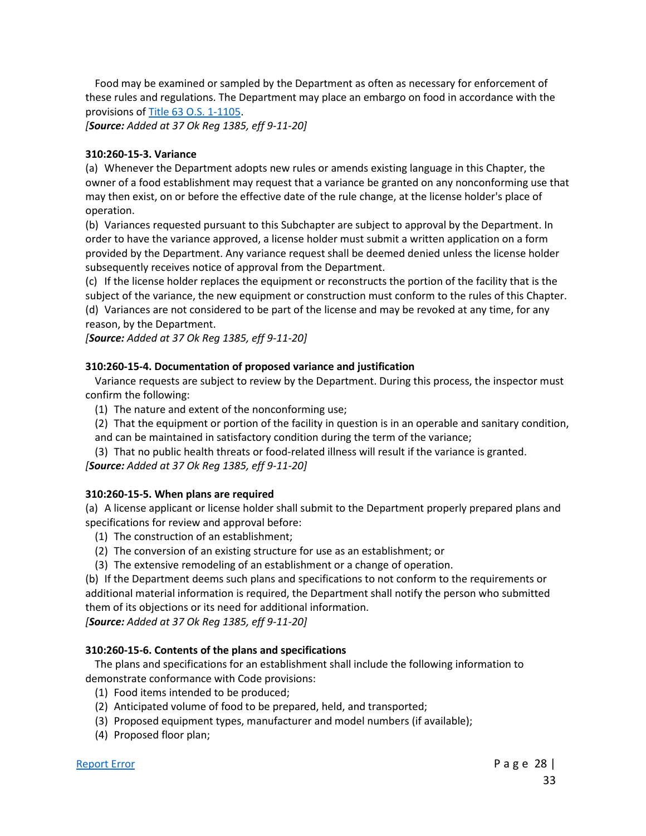Food may be examined or sampled by the Department as often as necessary for enforcement of these rules and regulations. The Department may place an embargo on food in accordance with the provisions o[f Title 63 O.S. 1-1105.](https://www.oscn.net/applications/oscn/DeliverDocument.asp?CiteID=98395)

*[Source: Added at 37 Ok Reg 1385, eff 9-11-20]*

#### **310:260-15-3. Variance**

(a) Whenever the Department adopts new rules or amends existing language in this Chapter, the owner of a food establishment may request that a variance be granted on any nonconforming use that may then exist, on or before the effective date of the rule change, at the license holder's place of operation.

(b) Variances requested pursuant to this Subchapter are subject to approval by the Department. In order to have the variance approved, a license holder must submit a written application on a form provided by the Department. Any variance request shall be deemed denied unless the license holder subsequently receives notice of approval from the Department.

(c) If the license holder replaces the equipment or reconstructs the portion of the facility that is the subject of the variance, the new equipment or construction must conform to the rules of this Chapter. (d) Variances are not considered to be part of the license and may be revoked at any time, for any reason, by the Department.

*[Source: Added at 37 Ok Reg 1385, eff 9-11-20]*

#### **310:260-15-4. Documentation of proposed variance and justification**

Variance requests are subject to review by the Department. During this process, the inspector must confirm the following:

- (1) The nature and extent of the nonconforming use;
- (2) That the equipment or portion of the facility in question is in an operable and sanitary condition, and can be maintained in satisfactory condition during the term of the variance;

(3) That no public health threats or food-related illness will result if the variance is granted.

*[Source: Added at 37 Ok Reg 1385, eff 9-11-20]*

## **310:260-15-5. When plans are required**

(a) A license applicant or license holder shall submit to the Department properly prepared plans and specifications for review and approval before:

- (1) The construction of an establishment;
- (2) The conversion of an existing structure for use as an establishment; or
- (3) The extensive remodeling of an establishment or a change of operation.

(b) If the Department deems such plans and specifications to not conform to the requirements or additional material information is required, the Department shall notify the person who submitted them of its objections or its need for additional information.

*[Source: Added at 37 Ok Reg 1385, eff 9-11-20]*

## **310:260-15-6. Contents of the plans and specifications**

The plans and specifications for an establishment shall include the following information to demonstrate conformance with Code provisions:

- (1) Food items intended to be produced;
- (2) Anticipated volume of food to be prepared, held, and transported;
- (3) Proposed equipment types, manufacturer and model numbers (if available);
- (4) Proposed floor plan;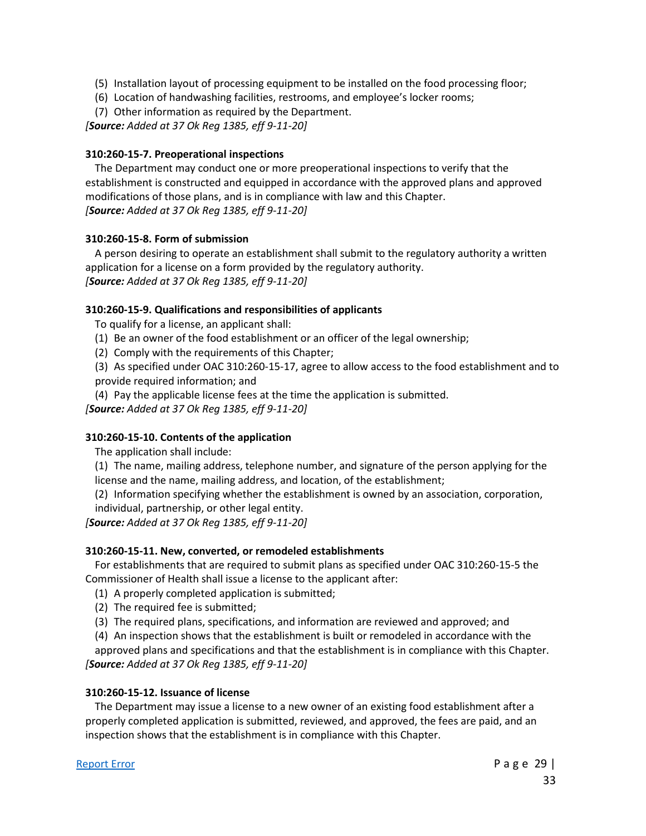- (5) Installation layout of processing equipment to be installed on the food processing floor;
- (6) Location of handwashing facilities, restrooms, and employee's locker rooms;
- (7) Other information as required by the Department.

*[Source: Added at 37 Ok Reg 1385, eff 9-11-20]*

#### **310:260-15-7. Preoperational inspections**

The Department may conduct one or more preoperational inspections to verify that the establishment is constructed and equipped in accordance with the approved plans and approved modifications of those plans, and is in compliance with law and this Chapter. *[Source: Added at 37 Ok Reg 1385, eff 9-11-20]*

#### **310:260-15-8. Form of submission**

A person desiring to operate an establishment shall submit to the regulatory authority a written application for a license on a form provided by the regulatory authority. *[Source: Added at 37 Ok Reg 1385, eff 9-11-20]*

#### **310:260-15-9. Qualifications and responsibilities of applicants**

To qualify for a license, an applicant shall:

- (1) Be an owner of the food establishment or an officer of the legal ownership;
- (2) Comply with the requirements of this Chapter;
- (3) As specified under OAC 310:260-15-17, agree to allow access to the food establishment and to provide required information; and
- (4) Pay the applicable license fees at the time the application is submitted.

*[Source: Added at 37 Ok Reg 1385, eff 9-11-20]*

#### **310:260-15-10. Contents of the application**

The application shall include:

- (1) The name, mailing address, telephone number, and signature of the person applying for the license and the name, mailing address, and location, of the establishment;
- (2) Information specifying whether the establishment is owned by an association, corporation,
- individual, partnership, or other legal entity.

*[Source: Added at 37 Ok Reg 1385, eff 9-11-20]*

## **310:260-15-11. New, converted, or remodeled establishments**

For establishments that are required to submit plans as specified under OAC 310:260-15-5 the Commissioner of Health shall issue a license to the applicant after:

- (1) A properly completed application is submitted;
- (2) The required fee is submitted;
- (3) The required plans, specifications, and information are reviewed and approved; and
- (4) An inspection shows that the establishment is built or remodeled in accordance with the

approved plans and specifications and that the establishment is in compliance with this Chapter. *[Source: Added at 37 Ok Reg 1385, eff 9-11-20]*

#### **310:260-15-12. Issuance of license**

The Department may issue a license to a new owner of an existing food establishment after a properly completed application is submitted, reviewed, and approved, the fees are paid, and an inspection shows that the establishment is in compliance with this Chapter.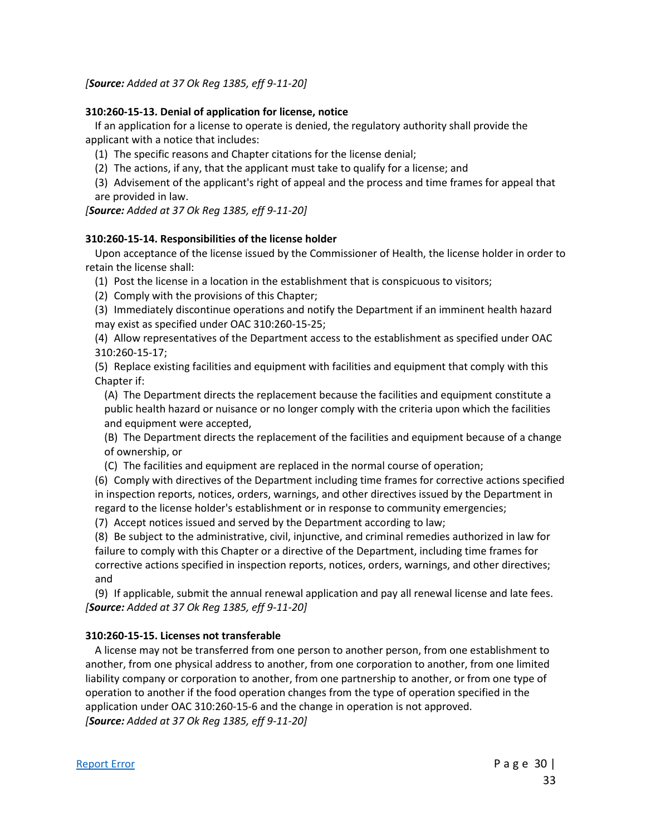*[Source: Added at 37 Ok Reg 1385, eff 9-11-20]*

#### **310:260-15-13. Denial of application for license, notice**

If an application for a license to operate is denied, the regulatory authority shall provide the applicant with a notice that includes:

- (1) The specific reasons and Chapter citations for the license denial;
- (2) The actions, if any, that the applicant must take to qualify for a license; and
- (3) Advisement of the applicant's right of appeal and the process and time frames for appeal that are provided in law.

*[Source: Added at 37 Ok Reg 1385, eff 9-11-20]*

#### **310:260-15-14. Responsibilities of the license holder**

Upon acceptance of the license issued by the Commissioner of Health, the license holder in order to retain the license shall:

- (1) Post the license in a location in the establishment that is conspicuous to visitors;
- (2) Comply with the provisions of this Chapter;
- (3) Immediately discontinue operations and notify the Department if an imminent health hazard may exist as specified under OAC 310:260-15-25;
- (4) Allow representatives of the Department access to the establishment as specified under OAC 310:260-15-17;
- (5) Replace existing facilities and equipment with facilities and equipment that comply with this Chapter if:

(A) The Department directs the replacement because the facilities and equipment constitute a public health hazard or nuisance or no longer comply with the criteria upon which the facilities and equipment were accepted,

(B) The Department directs the replacement of the facilities and equipment because of a change of ownership, or

(C) The facilities and equipment are replaced in the normal course of operation;

(6) Comply with directives of the Department including time frames for corrective actions specified in inspection reports, notices, orders, warnings, and other directives issued by the Department in regard to the license holder's establishment or in response to community emergencies;

(7) Accept notices issued and served by the Department according to law;

(8) Be subject to the administrative, civil, injunctive, and criminal remedies authorized in law for failure to comply with this Chapter or a directive of the Department, including time frames for corrective actions specified in inspection reports, notices, orders, warnings, and other directives; and

(9) If applicable, submit the annual renewal application and pay all renewal license and late fees. *[Source: Added at 37 Ok Reg 1385, eff 9-11-20]*

#### **310:260-15-15. Licenses not transferable**

A license may not be transferred from one person to another person, from one establishment to another, from one physical address to another, from one corporation to another, from one limited liability company or corporation to another, from one partnership to another, or from one type of operation to another if the food operation changes from the type of operation specified in the application under OAC 310:260-15-6 and the change in operation is not approved. *[Source: Added at 37 Ok Reg 1385, eff 9-11-20]*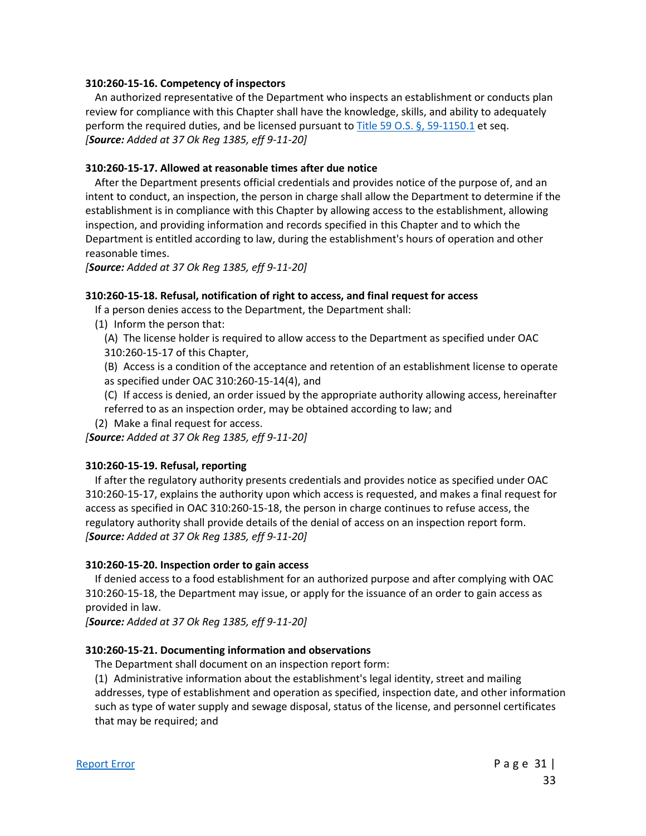#### **310:260-15-16. Competency of inspectors**

An authorized representative of the Department who inspects an establishment or conducts plan review for compliance with this Chapter shall have the knowledge, skills, and ability to adequately perform the required duties, and be licensed pursuant to [Title 59 O.S. §, 59-1150.1](https://www.oscn.net/applications/oscn/DeliverDocument.asp?CiteID=96362) et seq. *[Source: Added at 37 Ok Reg 1385, eff 9-11-20]*

#### **310:260-15-17. Allowed at reasonable times after due notice**

After the Department presents official credentials and provides notice of the purpose of, and an intent to conduct, an inspection, the person in charge shall allow the Department to determine if the establishment is in compliance with this Chapter by allowing access to the establishment, allowing inspection, and providing information and records specified in this Chapter and to which the Department is entitled according to law, during the establishment's hours of operation and other reasonable times.

*[Source: Added at 37 Ok Reg 1385, eff 9-11-20]*

#### **310:260-15-18. Refusal, notification of right to access, and final request for access**

- If a person denies access to the Department, the Department shall:
- (1) Inform the person that:
	- (A) The license holder is required to allow access to the Department as specified under OAC 310:260-15-17 of this Chapter,
	- (B) Access is a condition of the acceptance and retention of an establishment license to operate as specified under OAC 310:260-15-14(4), and
	- (C) If access is denied, an order issued by the appropriate authority allowing access, hereinafter referred to as an inspection order, may be obtained according to law; and
- (2) Make a final request for access.

*[Source: Added at 37 Ok Reg 1385, eff 9-11-20]*

#### **310:260-15-19. Refusal, reporting**

If after the regulatory authority presents credentials and provides notice as specified under OAC 310:260-15-17, explains the authority upon which access is requested, and makes a final request for access as specified in OAC 310:260-15-18, the person in charge continues to refuse access, the regulatory authority shall provide details of the denial of access on an inspection report form. *[Source: Added at 37 Ok Reg 1385, eff 9-11-20]*

#### **310:260-15-20. Inspection order to gain access**

If denied access to a food establishment for an authorized purpose and after complying with OAC 310:260-15-18, the Department may issue, or apply for the issuance of an order to gain access as provided in law.

*[Source: Added at 37 Ok Reg 1385, eff 9-11-20]*

#### **310:260-15-21. Documenting information and observations**

The Department shall document on an inspection report form:

(1) Administrative information about the establishment's legal identity, street and mailing addresses, type of establishment and operation as specified, inspection date, and other information such as type of water supply and sewage disposal, status of the license, and personnel certificates that may be required; and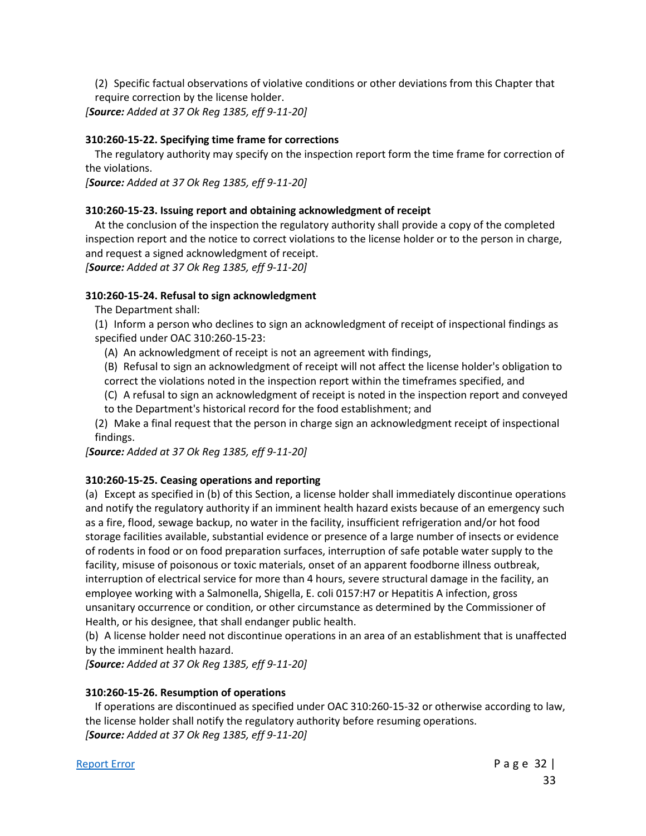(2) Specific factual observations of violative conditions or other deviations from this Chapter that require correction by the license holder.

*[Source: Added at 37 Ok Reg 1385, eff 9-11-20]*

#### **310:260-15-22. Specifying time frame for corrections**

The regulatory authority may specify on the inspection report form the time frame for correction of the violations.

*[Source: Added at 37 Ok Reg 1385, eff 9-11-20]*

#### **310:260-15-23. Issuing report and obtaining acknowledgment of receipt**

At the conclusion of the inspection the regulatory authority shall provide a copy of the completed inspection report and the notice to correct violations to the license holder or to the person in charge, and request a signed acknowledgment of receipt.

*[Source: Added at 37 Ok Reg 1385, eff 9-11-20]*

#### **310:260-15-24. Refusal to sign acknowledgment**

The Department shall:

(1) Inform a person who declines to sign an acknowledgment of receipt of inspectional findings as specified under OAC 310:260-15-23:

- (A) An acknowledgment of receipt is not an agreement with findings,
- (B) Refusal to sign an acknowledgment of receipt will not affect the license holder's obligation to
- correct the violations noted in the inspection report within the timeframes specified, and
- (C) A refusal to sign an acknowledgment of receipt is noted in the inspection report and conveyed to the Department's historical record for the food establishment; and
- (2) Make a final request that the person in charge sign an acknowledgment receipt of inspectional findings.

*[Source: Added at 37 Ok Reg 1385, eff 9-11-20]*

## **310:260-15-25. Ceasing operations and reporting**

(a) Except as specified in (b) of this Section, a license holder shall immediately discontinue operations and notify the regulatory authority if an imminent health hazard exists because of an emergency such as a fire, flood, sewage backup, no water in the facility, insufficient refrigeration and/or hot food storage facilities available, substantial evidence or presence of a large number of insects or evidence of rodents in food or on food preparation surfaces, interruption of safe potable water supply to the facility, misuse of poisonous or toxic materials, onset of an apparent foodborne illness outbreak, interruption of electrical service for more than 4 hours, severe structural damage in the facility, an employee working with a Salmonella, Shigella, E. coli 0157:H7 or Hepatitis A infection, gross unsanitary occurrence or condition, or other circumstance as determined by the Commissioner of Health, or his designee, that shall endanger public health.

(b) A license holder need not discontinue operations in an area of an establishment that is unaffected by the imminent health hazard.

*[Source: Added at 37 Ok Reg 1385, eff 9-11-20]*

## **310:260-15-26. Resumption of operations**

If operations are discontinued as specified under OAC 310:260-15-32 or otherwise according to law, the license holder shall notify the regulatory authority before resuming operations. *[Source: Added at 37 Ok Reg 1385, eff 9-11-20]*